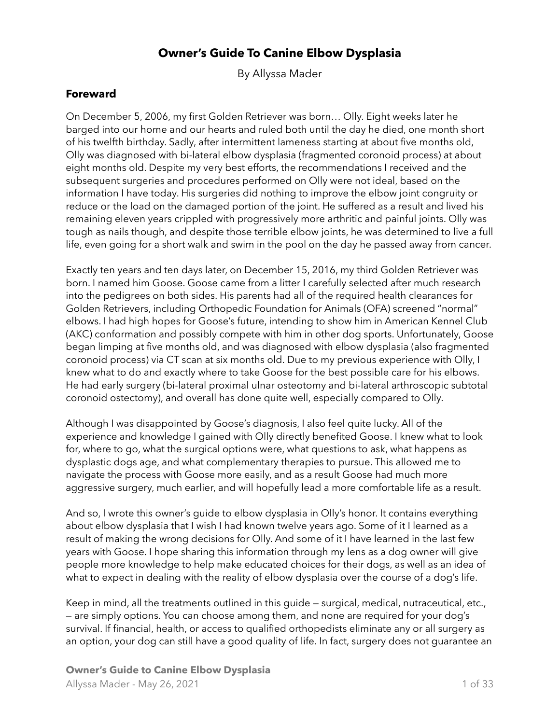# **Owner's Guide To Canine Elbow Dysplasia**

By Allyssa Mader

### **Foreward**

On December 5, 2006, my first Golden Retriever was born… Olly. Eight weeks later he barged into our home and our hearts and ruled both until the day he died, one month short of his twelfth birthday. Sadly, after intermittent lameness starting at about five months old, Olly was diagnosed with bi-lateral elbow dysplasia (fragmented coronoid process) at about eight months old. Despite my very best efforts, the recommendations I received and the subsequent surgeries and procedures performed on Olly were not ideal, based on the information I have today. His surgeries did nothing to improve the elbow joint congruity or reduce or the load on the damaged portion of the joint. He suffered as a result and lived his remaining eleven years crippled with progressively more arthritic and painful joints. Olly was tough as nails though, and despite those terrible elbow joints, he was determined to live a full life, even going for a short walk and swim in the pool on the day he passed away from cancer.

Exactly ten years and ten days later, on December 15, 2016, my third Golden Retriever was born. I named him Goose. Goose came from a litter I carefully selected after much research into the pedigrees on both sides. His parents had all of the required health clearances for Golden Retrievers, including Orthopedic Foundation for Animals (OFA) screened "normal" elbows. I had high hopes for Goose's future, intending to show him in American Kennel Club (AKC) conformation and possibly compete with him in other dog sports. Unfortunately, Goose began limping at five months old, and was diagnosed with elbow dysplasia (also fragmented coronoid process) via CT scan at six months old. Due to my previous experience with Olly, I knew what to do and exactly where to take Goose for the best possible care for his elbows. He had early surgery (bi-lateral proximal ulnar osteotomy and bi-lateral arthroscopic subtotal coronoid ostectomy), and overall has done quite well, especially compared to Olly.

Although I was disappointed by Goose's diagnosis, I also feel quite lucky. All of the experience and knowledge I gained with Olly directly benefited Goose. I knew what to look for, where to go, what the surgical options were, what questions to ask, what happens as dysplastic dogs age, and what complementary therapies to pursue. This allowed me to navigate the process with Goose more easily, and as a result Goose had much more aggressive surgery, much earlier, and will hopefully lead a more comfortable life as a result.

And so, I wrote this owner's guide to elbow dysplasia in Olly's honor. It contains everything about elbow dysplasia that I wish I had known twelve years ago. Some of it I learned as a result of making the wrong decisions for Olly. And some of it I have learned in the last few years with Goose. I hope sharing this information through my lens as a dog owner will give people more knowledge to help make educated choices for their dogs, as well as an idea of what to expect in dealing with the reality of elbow dysplasia over the course of a dog's life.

Keep in mind, all the treatments outlined in this guide — surgical, medical, nutraceutical, etc., — are simply options. You can choose among them, and none are required for your dog's survival. If financial, health, or access to qualified orthopedists eliminate any or all surgery as an option, your dog can still have a good quality of life. In fact, surgery does not guarantee an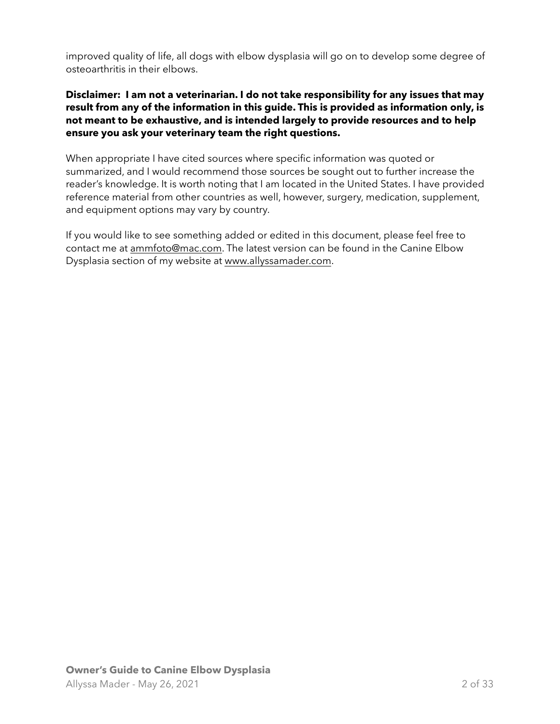improved quality of life, all dogs with elbow dysplasia will go on to develop some degree of osteoarthritis in their elbows.

#### **Disclaimer: I am not a veterinarian. I do not take responsibility for any issues that may result from any of the information in this guide. This is provided as information only, is not meant to be exhaustive, and is intended largely to provide resources and to help ensure you ask your veterinary team the right questions.**

When appropriate I have cited sources where specific information was quoted or summarized, and I would recommend those sources be sought out to further increase the reader's knowledge. It is worth noting that I am located in the United States. I have provided reference material from other countries as well, however, surgery, medication, supplement, and equipment options may vary by country.

If you would like to see something added or edited in this document, please feel free to contact me at [ammfoto@mac.com.](mailto:ammfoto@mac.com) The latest version can be found in the Canine Elbow Dysplasia section of my website at [www.allyssamader.com.](http://www.allyssamader.com)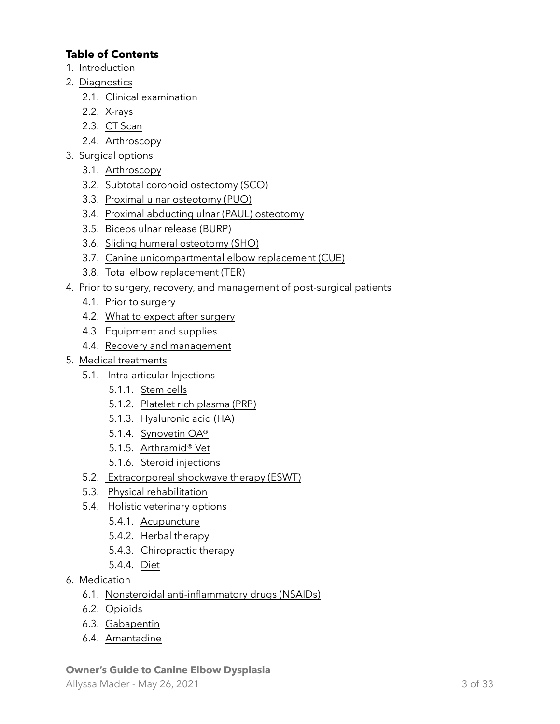# **Table of Contents**

- 1. [Introduction](#page-4-0)
- 2. [Diagnostics](#page-6-0)
	- 2.1. [Clinical examination](#page-6-1)
	- 2.2. [X-rays](#page-6-2)
	- 2.3. [CT Scan](#page-6-3)
	- 2.4. [Arthroscopy](#page-7-0)
- 3. [Surgical options](#page-7-1)
	- 3.1. [Arthroscopy](#page-7-0)
	- 3.2. [Subtotal coronoid ostectomy \(SCO\)](#page-7-2)
	- 3.3. [Proximal ulnar osteotomy \(PUO\)](#page-7-3)
	- 3.4. [Proximal abducting ulnar \(PAUL\) osteotomy](#page-8-0)
	- 3.5. [Biceps ulnar release \(BURP\)](#page-8-1)
	- 3.6. [Sliding humeral osteotomy \(SHO\)](#page-8-2)
	- 3.7. [Canine unicompartmental elbow replacement \(CUE\)](#page-8-3)
	- 3.8. [Total elbow replacement \(TER\)](#page-8-4)
- 4. [Prior to surgery, recovery, and management of post-surgical patients](#page-10-0)
	- 4.1. [Prior to surgery](#page-10-1)
	- 4.2. [What to expect after surgery](#page-10-2)
	- 4.3. [Equipment and supplies](#page-12-0)
	- 4.4. [Recovery and management](#page-13-0)
- 5. [Medical treatments](#page-14-0)
	- 5.1. [Intra-articular Injections](#page-14-1)
		- 5.1.1. [Stem cells](#page-14-2)
		- 5.1.2. [Platelet rich plasma \(PRP\)](#page-14-3)
		- 5.1.3. [Hyaluronic acid \(HA\)](#page-14-4)
		- 5.1.4. [Synovetin OA®](#page-15-0)
		- 5.1.5. [Arthramid® Vet](#page-15-1)
		- 5.1.6. [Steroid injections](#page-15-2)
	- 5.2. [Extracorporeal shockwave therapy \(ESWT\)](#page-16-0)
	- 5.3. [Physical rehabilitation](#page-16-1)
	- 5.4. [Holistic veterinary options](#page-17-0)
		- 5.4.1. [Acupuncture](#page-17-1)
		- 5.4.2. [Herbal therapy](#page-18-0)
		- 5.4.3. [Chiropractic therapy](#page-18-1)
		- 5.4.4. [Diet](#page-18-2)
- 6. [Medication](#page-19-0)
	- 6.1. [Nonsteroidal anti-inflammatory drugs \(NSAIDs\)](#page-19-1)
	- 6.2. [Opioids](#page-19-2)
	- 6.3. [Gabapentin](#page-20-0)
	- 6.4. [Amantadine](#page-20-1)

# **Owner's Guide to Canine Elbow Dysplasia**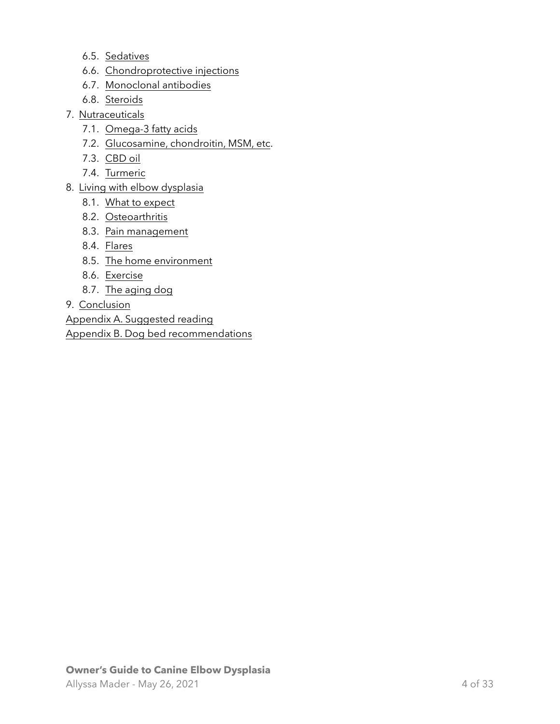- 6.5. [Sedatives](#page-20-2)
- 6.6. [Chondroprotective injections](#page-21-0)
- 6.7. [Monoclonal antibodies](#page-21-1)
- 6.8. [Steroids](#page-21-2)
- 7. [Nutraceuticals](#page-22-0)
	- 7.1. [Omega-3 fatty acids](#page-22-1)
	- 7.2. [Glucosamine, chondroitin, MSM, etc.](#page-23-0)
	- 7.3. [CBD oil](#page-23-1)
	- 7.4. [Turmeric](#page-24-0)
- 8. [Living with elbow dysplasia](#page-25-0)
	- 8.1. [What to expect](#page-25-1)
	- 8.2. [Osteoarthritis](#page-25-2)
	- 8.3. [Pain management](#page-26-0)
	- 8.4. [Flares](#page-27-0)
	- 8.5. [The home environment](#page-28-0)
	- 8.6. [Exercise](#page-28-1)
	- 8.7. [The aging dog](#page-29-0)
- 9. [Conclusion](#page-30-0)

[Appendix A. Suggested reading](#page-31-0)

[Appendix B. Dog bed recommendations](#page-32-0)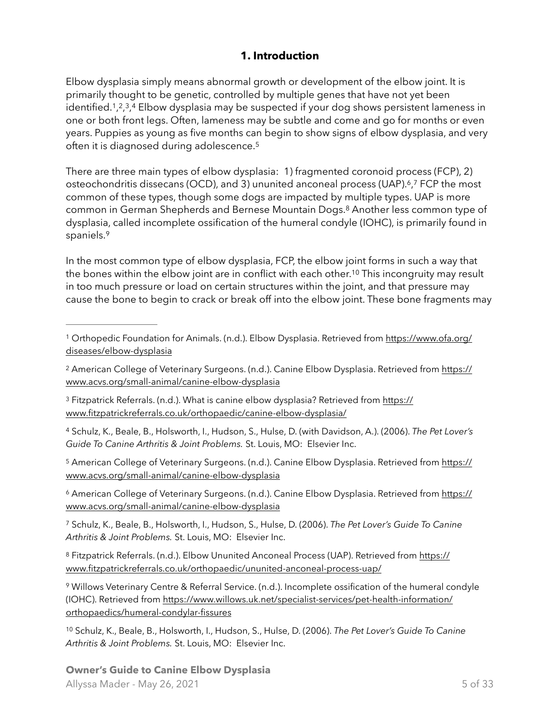## <span id="page-4-20"></span><span id="page-4-18"></span><span id="page-4-17"></span><span id="page-4-16"></span><span id="page-4-15"></span><span id="page-4-0"></span>**1. Introduction**

<span id="page-4-14"></span><span id="page-4-13"></span><span id="page-4-12"></span><span id="page-4-11"></span>Elbow dysplasia simply means abnormal growth or development of the elbow joint. It is primarily thought to be genetic, controlled by multiple genes that have not yet been identified.<sup>1</sup>[,](#page-4-4)<sup>2</sup>,<sup>3</sup>,4</sub> Elbow dysplasia may be suspected if your dog shows persistent lameness in one or both front legs. Often, lameness may be subtle and come and go for months or even years. Puppies as young as five months can begin to show signs of elbow dysplasia, and very often it is diagnosed during adolescence[.5](#page-4-5)

There are three main types of elbow dysplasia: 1) fragmented coronoid process (FCP), 2) osteochondritis dissecans (OCD)[,](#page-4-7) and 3) ununited anconeal process (UAP). $\frac{6}{7}$  $\frac{6}{7}$  $\frac{6}{7}$  FCP the most common of these types, though some dogs are impacted by multiple types. UAP is more common in German Shepherds and Bernese Mountain Dogs[.](#page-4-8)<sup>[8](#page-4-8)</sup> Another less common type of dysplasia, called incomplete ossification of the humeral condyle (IOHC), is primarily found in spaniels.[9](#page-4-9)

<span id="page-4-19"></span>In the most common type of elbow dysplasia, FCP, the elbow joint forms in such a way that the bones within the elbow joint are in conflict with each other[.](#page-4-10)<sup>[10](#page-4-10)</sup> This incongruity may result in too much pressure or load on certain structures within the joint, and that pressure may cause the bone to begin to crack or break off into the elbow joint. These bone fragments may

<span id="page-4-3"></span> Fitzpatrick Referrals. (n.d.). What is canine elbow dysplasia? Retrieved from [https://](https://www.fitzpatrickreferrals.co.uk/orthopaedic/canine-elbow-dysplasia/) [3](#page-4-13) [www.fitzpatrickreferrals.co.uk/orthopaedic/canine-elbow-dysplasia/](https://www.fitzpatrickreferrals.co.uk/orthopaedic/canine-elbow-dysplasia/)

<span id="page-4-4"></span> Schulz, K., Beale, B., Holsworth, I., Hudson, S., Hulse, D. (with Davidson, A.). (2006). *The Pet Lover's* [4](#page-4-14) *Guide To Canine Arthritis & Joint Problems.* St. Louis, MO: Elsevier Inc.

<span id="page-4-5"></span><sup>5</sup> American College of Veterinary Surgeons. (n.d.). Canine Elbow Dysplasia. Retrieved from [https://](https://www.acvs.org/small-animal/canine-elbow-dysplasia) [www.acvs.org/small-animal/canine-elbow-dysplasia](https://www.acvs.org/small-animal/canine-elbow-dysplasia)

<span id="page-4-6"></span> American College of Veterinary Surgeons. (n.d.). Canine Elbow Dysplasia. Retrieved from [https://](https://www.acvs.org/small-animal/canine-elbow-dysplasia) [6](#page-4-16) [www.acvs.org/small-animal/canine-elbow-dysplasia](https://www.acvs.org/small-animal/canine-elbow-dysplasia)

<span id="page-4-7"></span> Schulz, K., Beale, B., Holsworth, I., Hudson, S., Hulse, D. (2006). *The Pet Lover's Guide To Canine* [7](#page-4-17) *Arthritis & Joint Problems.* St. Louis, MO: Elsevier Inc.

#### **Owner's Guide to Canine Elbow Dysplasia**

<span id="page-4-1"></span>Orthopedic Foundation for Animals. (n.d.). Elbow Dysplasia. Retrieved from [https://www.ofa.org/](https://www.ofa.org/diseases/elbow-dysplasia) [1](#page-4-11) [diseases/elbow-dysplasia](https://www.ofa.org/diseases/elbow-dysplasia)

<span id="page-4-2"></span><sup>&</sup>lt;sup>2</sup> American College of Veterinary Surgeons. (n.d.). Canine Elbow Dysplasia. Retrieved from [https://](https://www.acvs.org/small-animal/canine-elbow-dysplasia) [www.acvs.org/small-animal/canine-elbow-dysplasia](https://www.acvs.org/small-animal/canine-elbow-dysplasia)

<span id="page-4-8"></span>Fitzpatrick Referrals. (n.d.). Elbow Ununited Anconeal Process (UAP). Retrieved from [https://](https://www.fitzpatrickreferrals.co.uk/orthopaedic/ununited-anconeal-process-uap/) [8](#page-4-18) [www.fitzpatrickreferrals.co.uk/orthopaedic/ununited-anconeal-process-uap/](https://www.fitzpatrickreferrals.co.uk/orthopaedic/ununited-anconeal-process-uap/)

<span id="page-4-9"></span>Willows Veterinary Centre & Referral Service. (n.d.). Incomplete ossification of the humeral condyle [9](#page-4-19) [\(IOHC\). Retrieved from https://www.willows.uk.net/specialist-services/pet-health-information/](https://www.willows.uk.net/specialist-services/pet-health-information/orthopaedics/humeral-condylar-fissures) [orthopaedics/humeral-condylar-fissures](https://www.willows.uk.net/specialist-services/pet-health-information/orthopaedics/humeral-condylar-fissures)

<span id="page-4-10"></span>[<sup>10</sup>](#page-4-20) Schulz, K., Beale, B., Holsworth, I., Hudson, S., Hulse, D. (2006). *The Pet Lover's Guide To Canine Arthritis & Joint Problems.* St. Louis, MO: Elsevier Inc.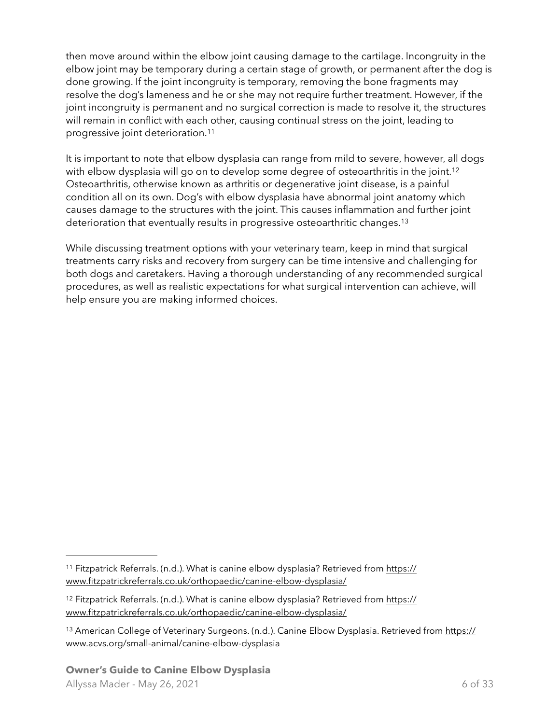then move around within the elbow joint causing damage to the cartilage. Incongruity in the elbow joint may be temporary during a certain stage of growth, or permanent after the dog is done growing. If the joint incongruity is temporary, removing the bone fragments may resolve the dog's lameness and he or she may not require further treatment. However, if the joint incongruity is permanent and no surgical correction is made to resolve it, the structures will remain in conflict with each other, causing continual stress on the joint, leading to progressive joint deterioration.[11](#page-5-0)

<span id="page-5-4"></span><span id="page-5-3"></span>It is important to note that elbow dysplasia can range from mild to severe, however, all dogs with elbow dysplasia will go on to develop some degree of osteoarthritis in the joint.<sup>[12](#page-5-1)</sup> Osteoarthritis, otherwise known as arthritis or degenerative joint disease, is a painful condition all on its own. Dog's with elbow dysplasia have abnormal joint anatomy which causes damage to the structures with the joint. This causes inflammation and further joint deterioration that eventually results in progressive osteoarthritic changes.<sup>13</sup>

<span id="page-5-5"></span>While discussing treatment options with your veterinary team, keep in mind that surgical treatments carry risks and recovery from surgery can be time intensive and challenging for both dogs and caretakers. Having a thorough understanding of any recommended surgical procedures, as well as realistic expectations for what surgical intervention can achieve, will help ensure you are making informed choices.

<span id="page-5-0"></span><sup>&</sup>lt;sup>11</sup> Fitzpatrick Referrals. (n.d.). What is canine elbow dysplasia? Retrieved from [https://](https://www.fitzpatrickreferrals.co.uk/orthopaedic/canine-elbow-dysplasia/) [www.fitzpatrickreferrals.co.uk/orthopaedic/canine-elbow-dysplasia/](https://www.fitzpatrickreferrals.co.uk/orthopaedic/canine-elbow-dysplasia/)

<span id="page-5-1"></span><sup>&</sup>lt;sup>12</sup> Fitzpatrick Referrals. (n.d.). What is canine elbow dysplasia? Retrieved from [https://](https://www.fitzpatrickreferrals.co.uk/orthopaedic/canine-elbow-dysplasia/) [www.fitzpatrickreferrals.co.uk/orthopaedic/canine-elbow-dysplasia/](https://www.fitzpatrickreferrals.co.uk/orthopaedic/canine-elbow-dysplasia/)

<span id="page-5-2"></span><sup>&</sup>lt;sup>13</sup> American College of Veterinary Surgeons. (n.d.). Canine Elbow Dysplasia. Retrieved from [https://](https://www.acvs.org/small-animal/canine-elbow-dysplasia) [www.acvs.org/small-animal/canine-elbow-dysplasia](https://www.acvs.org/small-animal/canine-elbow-dysplasia)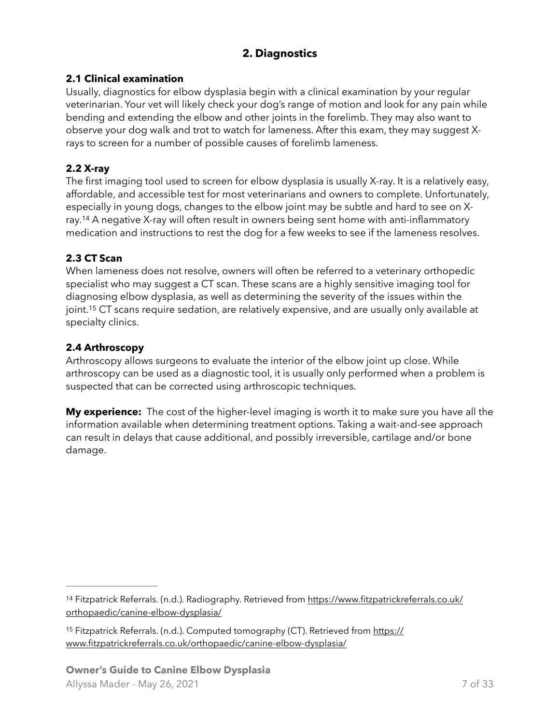# <span id="page-6-0"></span>**2. Diagnostics**

### <span id="page-6-1"></span>**2.1 Clinical examination**

Usually, diagnostics for elbow dysplasia begin with a clinical examination by your regular veterinarian. Your vet will likely check your dog's range of motion and look for any pain while bending and extending the elbow and other joints in the forelimb. They may also want to observe your dog walk and trot to watch for lameness. After this exam, they may suggest Xrays to screen for a number of possible causes of forelimb lameness.

### <span id="page-6-2"></span>**2.2 X-ray**

<span id="page-6-6"></span>The first imaging tool used to screen for elbow dysplasia is usually X-ray. It is a relatively easy, affordable, and accessible test for most veterinarians and owners to complete. Unfortunately, especially in young dogs, changes to the elbow joint may be subtle and hard to see on X-ray.<sup>[14](#page-6-4)</sup> A negative X-ray will often result in owners being sent home with anti-inflammatory medication and instructions to rest the dog for a few weeks to see if the lameness resolves.

### <span id="page-6-3"></span>**2.3 CT Scan**

<span id="page-6-7"></span>When lameness does not resolve, owners will often be referred to a veterinary orthopedic specialist who may suggest a CT scan. These scans are a highly sensitive imaging tool for diagnosing elbow dysplasia, as well as determining the severity of the issues within the joint.<sup>[15](#page-6-5)</sup> CT scans require sedation, are relatively expensive, and are usually only available at specialty clinics.

#### **2.4 Arthroscopy**

Arthroscopy allows surgeons to evaluate the interior of the elbow joint up close. While arthroscopy can be used as a diagnostic tool, it is usually only performed when a problem is suspected that can be corrected using arthroscopic techniques.

**My experience:** The cost of the higher-level imaging is worth it to make sure you have all the information available when determining treatment options. Taking a wait-and-see approach can result in delays that cause additional, and possibly irreversible, cartilage and/or bone damage.

<span id="page-6-4"></span><sup>14</sup> Fitzpatrick Referrals. (n.d.). Radiography. Retrieved from [https://www.fitzpatrickreferrals.co.uk/](https://www.fitzpatrickreferrals.co.uk/orthopaedic/canine-elbow-dysplasia/) [orthopaedic/canine-elbow-dysplasia/](https://www.fitzpatrickreferrals.co.uk/orthopaedic/canine-elbow-dysplasia/)

<span id="page-6-5"></span><sup>&</sup>lt;sup>15</sup> Fitzpatrick Referrals. (n.d.). Computed tomography (CT). Retrieved from [https://](https://www.fitzpatrickreferrals.co.uk/orthopaedic/canine-elbow-dysplasia/) [www.fitzpatrickreferrals.co.uk/orthopaedic/canine-elbow-dysplasia/](https://www.fitzpatrickreferrals.co.uk/orthopaedic/canine-elbow-dysplasia/)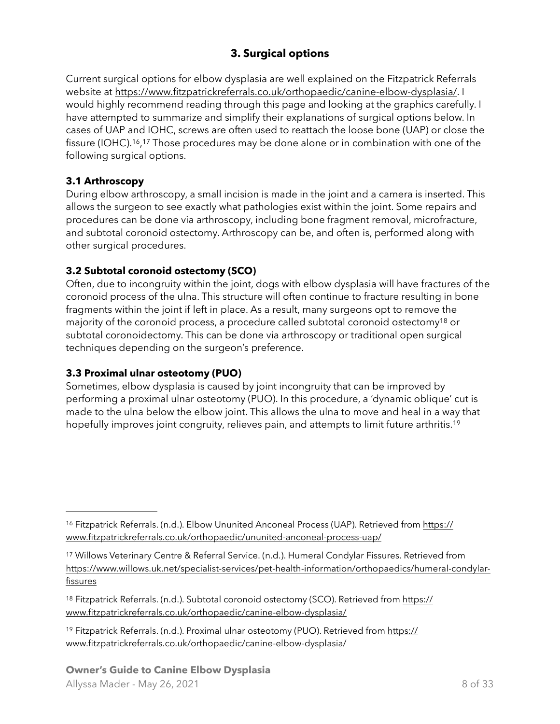# <span id="page-7-10"></span><span id="page-7-1"></span>**3. Surgical options**

Current surgical options for elbow dysplasia are well explained on the Fitzpatrick Referrals website at [https://www.fitzpatrickreferrals.co.uk/orthopaedic/canine-elbow-dysplasia/.](https://www.fitzpatrickreferrals.co.uk/orthopaedic/canine-elbow-dysplasia/) I would highly recommend reading through this page and looking at the graphics carefully. I have attempted to summarize and simplify their explanations of surgical options below. In cases of UAP and IOHC, screws are often used to reattach the loose bone (UAP) or close the fissure (IOHC).<sup>16</sup>[,](#page-7-4)<sup>17</sup> Those procedures may be done alone or in combination with one of the following surgical options.

#### <span id="page-7-9"></span><span id="page-7-8"></span><span id="page-7-0"></span>**3.1 Arthroscopy**

During elbow arthroscopy, a small incision is made in the joint and a camera is inserted. This allows the surgeon to see exactly what pathologies exist within the joint. Some repairs and procedures can be done via arthroscopy, including bone fragment removal, microfracture, and subtotal coronoid ostectomy. Arthroscopy can be, and often is, performed along with other surgical procedures.

### <span id="page-7-2"></span>**3.2 Subtotal coronoid ostectomy (SCO)**

Often, due to incongruity within the joint, dogs with elbow dysplasia will have fractures of the coronoid process of the ulna. This structure will often continue to fracture resulting in bone fragments within the joint if left in place. As a result, many surgeons opt to remove the majority of the coronoid process, a procedure called subtotal coronoid ostectomy<sup>[18](#page-7-6)</sup> or subtotal coronoidectomy. This can be done via arthroscopy or traditional open surgical techniques depending on the surgeon's preference.

#### <span id="page-7-3"></span>**3.3 Proximal ulnar osteotomy (PUO)**

<span id="page-7-11"></span>Sometimes, elbow dysplasia is caused by joint incongruity that can be improved by performing a proximal ulnar osteotomy (PUO). In this procedure, a 'dynamic oblique' cut is made to the ulna below the elbow joint. This allows the ulna to move and heal in a way that hopefully improves joint congruity, relieves pain, and attempts to limit future arthritis.<sup>19</sup>

<span id="page-7-7"></span><sup>19</sup> Fitzpatrick Referrals. (n.d.). Proximal ulnar osteotomy (PUO). Retrieved from [https://](https://www.fitzpatrickreferrals.co.uk/orthopaedic/canine-elbow-dysplasia/) [www.fitzpatrickreferrals.co.uk/orthopaedic/canine-elbow-dysplasia/](https://www.fitzpatrickreferrals.co.uk/orthopaedic/canine-elbow-dysplasia/)

<span id="page-7-4"></span><sup>&</sup>lt;sup>16</sup> Fitzpatrick Referrals. (n.d.). Elbow Ununited Anconeal Process (UAP). Retrieved from [https://](https://www.fitzpatrickreferrals.co.uk/orthopaedic/ununited-anconeal-process-uap/) [www.fitzpatrickreferrals.co.uk/orthopaedic/ununited-anconeal-process-uap/](https://www.fitzpatrickreferrals.co.uk/orthopaedic/ununited-anconeal-process-uap/)

<span id="page-7-5"></span><sup>17</sup>Willows Veterinary Centre & Referral Service. (n.d.). Humeral Condylar Fissures. Retrieved from [https://www.willows.uk.net/specialist-services/pet-health-information/orthopaedics/humeral-condylar](https://www.willows.uk.net/specialist-services/pet-health-information/orthopaedics/humeral-condylar-fissures)[fissures](https://www.willows.uk.net/specialist-services/pet-health-information/orthopaedics/humeral-condylar-fissures)

<span id="page-7-6"></span><sup>&</sup>lt;sup>18</sup> Fitzpatrick Referrals. (n.d.). Subtotal coronoid ostectomy (SCO). Retrieved from [https://](https://www.fitzpatrickreferrals.co.uk/orthopaedic/canine-elbow-dysplasia/) [www.fitzpatrickreferrals.co.uk/orthopaedic/canine-elbow-dysplasia/](https://www.fitzpatrickreferrals.co.uk/orthopaedic/canine-elbow-dysplasia/)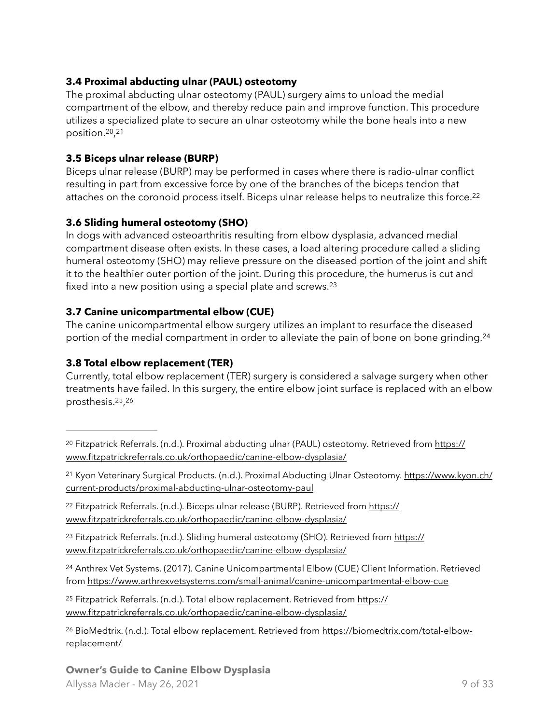### <span id="page-8-0"></span>**3.4 Proximal abducting ulnar (PAUL) osteotomy**

The proximal abducting ulnar osteotomy (PAUL) surgery aims to unload the medial compartment of the elbow, and thereby reduce pain and improve function. This procedure utilizes a specialized plate to secure an ulnar osteotomy while the bone heals into a new position.<sup>[20](#page-8-5)</sup>,<sup>[21](#page-8-6)</sup>

#### <span id="page-8-13"></span><span id="page-8-12"></span><span id="page-8-1"></span>**3.5 Biceps ulnar release (BURP)**

<span id="page-8-14"></span>Biceps ulnar release (BURP) may be performed in cases where there is radio-ulnar conflict resulting in part from excessive force by one of the branches of the biceps tendon that attaches on the coronoid process itself. Biceps ulnar release helps to neutralize this force.<sup>22</sup>

### <span id="page-8-2"></span>**3.6 Sliding humeral osteotomy (SHO)**

In dogs with advanced osteoarthritis resulting from elbow dysplasia, advanced medial compartment disease often exists. In these cases, a load altering procedure called a sliding humeral osteotomy (SHO) may relieve pressure on the diseased portion of the joint and shift it to the healthier outer portion of the joint. During this procedure, the humerus is cut and fixed into a new position using a special plate and screws.<sup>23</sup>

## <span id="page-8-15"></span><span id="page-8-3"></span>**3.7 Canine unicompartmental elbow (CUE)**

<span id="page-8-16"></span>The canine unicompartmental elbow surgery utilizes an implant to resurface the diseased portion of the medial compartment in order to alleviate the pain of bone on bone grinding.<sup>[24](#page-8-9)</sup>

## <span id="page-8-4"></span>**3.8 Total elbow replacement (TER)**

<span id="page-8-18"></span><span id="page-8-17"></span>Currently, total elbow replacement (TER) surgery is considered a salvage surgery when other treatments have failed. In this surgery, the entire elbow joint surface is replaced with an elbow prosthesis. $25, 26$  $25, 26$  $25, 26$ 

<span id="page-8-8"></span><sup>23</sup> Fitzpatrick Referrals. (n.d.). Sliding humeral osteotomy (SHO). Retrieved from [https://](https://www.fitzpatrickreferrals.co.uk/orthopaedic/canine-elbow-dysplasia/) [www.fitzpatrickreferrals.co.uk/orthopaedic/canine-elbow-dysplasia/](https://www.fitzpatrickreferrals.co.uk/orthopaedic/canine-elbow-dysplasia/)

<span id="page-8-9"></span><sup>24</sup>Anthrex Vet Systems. (2017). Canine Unicompartmental Elbow (CUE) Client Information. Retrieved from <https://www.arthrexvetsystems.com/small-animal/canine-unicompartmental-elbow-cue>

<span id="page-8-10"></span><sup>25</sup> Fitzpatrick Referrals. (n.d.). Total elbow replacement. Retrieved from [https://](https://www.fitzpatrickreferrals.co.uk/orthopaedic/canine-elbow-dysplasia/) [www.fitzpatrickreferrals.co.uk/orthopaedic/canine-elbow-dysplasia/](https://www.fitzpatrickreferrals.co.uk/orthopaedic/canine-elbow-dysplasia/)

<span id="page-8-11"></span><sup>26</sup> BioMedtrix. (n.d.). Total elbow replacement. Retrieved from [https://biomedtrix.com/total-elbow](https://biomedtrix.com/total-elbow-replacement/) [replacement/](https://biomedtrix.com/total-elbow-replacement/)

#### **Owner's Guide to Canine Elbow Dysplasia** Allyssa Mader - May 26, 2021 9 of 33

<span id="page-8-5"></span>Fitzpatrick Referrals. (n.d.). Proximal abducting ulnar (PAUL) osteotomy. Retrieved from [https://](https://www.fitzpatrickreferrals.co.uk/orthopaedic/canine-elbow-dysplasia/) [20](#page-8-12) [www.fitzpatrickreferrals.co.uk/orthopaedic/canine-elbow-dysplasia/](https://www.fitzpatrickreferrals.co.uk/orthopaedic/canine-elbow-dysplasia/)

<span id="page-8-6"></span><sup>&</sup>lt;sup>21</sup> Kyon Veterinary Surgical Products. (n.d.). Proximal Abducting Ulnar Osteotomy. [https://www.kyon.ch/](https://www.kyon.ch/current-products/proximal-abducting-ulnar-osteotomy-paul) [current-products/proximal-abducting-ulnar-osteotomy-paul](https://www.kyon.ch/current-products/proximal-abducting-ulnar-osteotomy-paul)

<span id="page-8-7"></span><sup>&</sup>lt;sup>22</sup> Fitzpatrick Referrals. (n.d.). Biceps ulnar release (BURP). Retrieved from [https://](https://www.fitzpatrickreferrals.co.uk/orthopaedic/canine-elbow-dysplasia/) [www.fitzpatrickreferrals.co.uk/orthopaedic/canine-elbow-dysplasia/](https://www.fitzpatrickreferrals.co.uk/orthopaedic/canine-elbow-dysplasia/)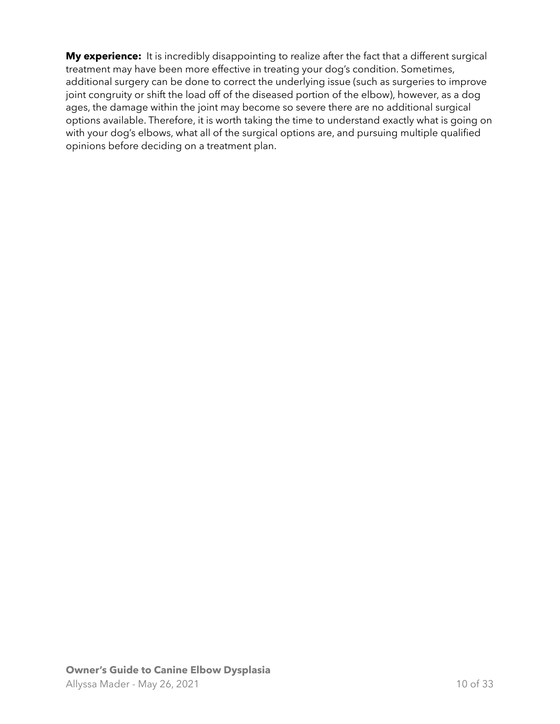**My experience:** It is incredibly disappointing to realize after the fact that a different surgical treatment may have been more effective in treating your dog's condition. Sometimes, additional surgery can be done to correct the underlying issue (such as surgeries to improve joint congruity or shift the load off of the diseased portion of the elbow), however, as a dog ages, the damage within the joint may become so severe there are no additional surgical options available. Therefore, it is worth taking the time to understand exactly what is going on with your dog's elbows, what all of the surgical options are, and pursuing multiple qualified opinions before deciding on a treatment plan.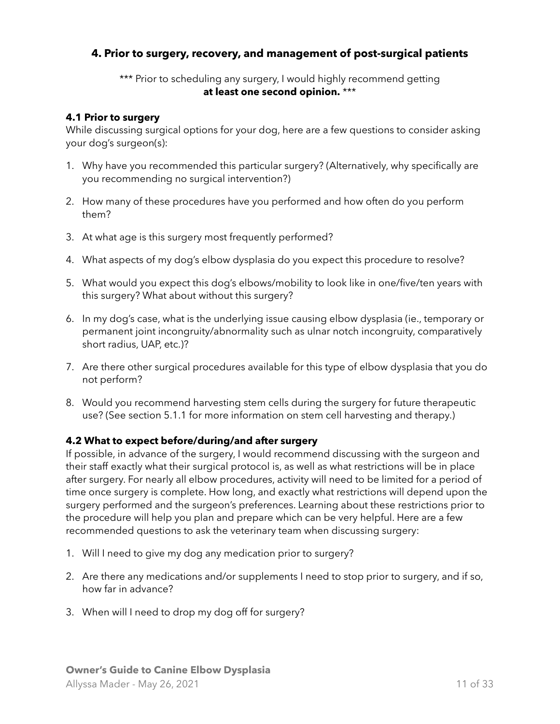### <span id="page-10-0"></span>**4. Prior to surgery, recovery, and management of post-surgical patients**

#### \*\*\* Prior to scheduling any surgery, I would highly recommend getting **at least one second opinion.** \*\*\*

#### <span id="page-10-1"></span>**4.1 Prior to surgery**

While discussing surgical options for your dog, here are a few questions to consider asking your dog's surgeon(s):

- 1. Why have you recommended this particular surgery? (Alternatively, why specifically are you recommending no surgical intervention?)
- 2. How many of these procedures have you performed and how often do you perform them?
- 3. At what age is this surgery most frequently performed?
- 4. What aspects of my dog's elbow dysplasia do you expect this procedure to resolve?
- 5. What would you expect this dog's elbows/mobility to look like in one/five/ten years with this surgery? What about without this surgery?
- 6. In my dog's case, what is the underlying issue causing elbow dysplasia (ie., temporary or permanent joint incongruity/abnormality such as ulnar notch incongruity, comparatively short radius, UAP, etc.)?
- 7. Are there other surgical procedures available for this type of elbow dysplasia that you do not perform?
- 8. Would you recommend harvesting stem cells during the surgery for future therapeutic use? (See section 5.1.1 for more information on stem cell harvesting and therapy.)

#### <span id="page-10-2"></span>**4.2 What to expect before/during/and after surgery**

If possible, in advance of the surgery, I would recommend discussing with the surgeon and their staff exactly what their surgical protocol is, as well as what restrictions will be in place after surgery. For nearly all elbow procedures, activity will need to be limited for a period of time once surgery is complete. How long, and exactly what restrictions will depend upon the surgery performed and the surgeon's preferences. Learning about these restrictions prior to the procedure will help you plan and prepare which can be very helpful. Here are a few recommended questions to ask the veterinary team when discussing surgery:

- 1. Will I need to give my dog any medication prior to surgery?
- 2. Are there any medications and/or supplements I need to stop prior to surgery, and if so, how far in advance?
- 3. When will I need to drop my dog off for surgery?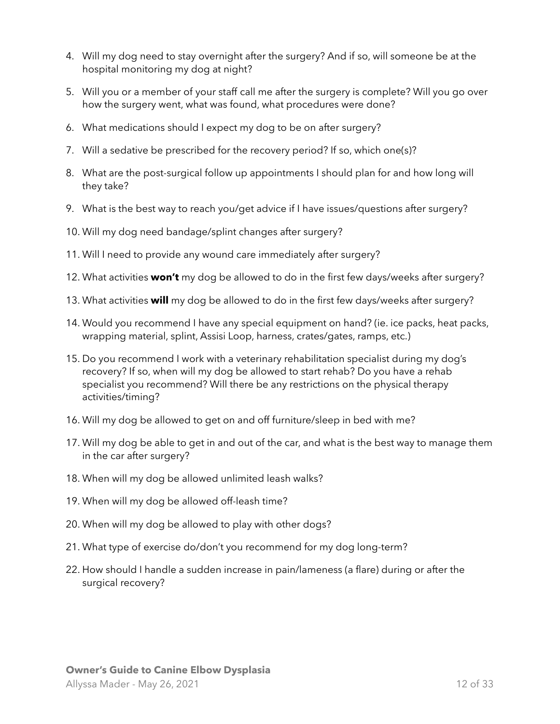- 4. Will my dog need to stay overnight after the surgery? And if so, will someone be at the hospital monitoring my dog at night?
- 5. Will you or a member of your staff call me after the surgery is complete? Will you go over how the surgery went, what was found, what procedures were done?
- 6. What medications should I expect my dog to be on after surgery?
- 7. Will a sedative be prescribed for the recovery period? If so, which one(s)?
- 8. What are the post-surgical follow up appointments I should plan for and how long will they take?
- 9. What is the best way to reach you/get advice if I have issues/questions after surgery?
- 10. Will my dog need bandage/splint changes after surgery?
- 11. Will I need to provide any wound care immediately after surgery?
- 12. What activities **won't** my dog be allowed to do in the first few days/weeks after surgery?
- 13. What activities **will** my dog be allowed to do in the first few days/weeks after surgery?
- 14. Would you recommend I have any special equipment on hand? (ie. ice packs, heat packs, wrapping material, splint, Assisi Loop, harness, crates/gates, ramps, etc.)
- 15. Do you recommend I work with a veterinary rehabilitation specialist during my dog's recovery? If so, when will my dog be allowed to start rehab? Do you have a rehab specialist you recommend? Will there be any restrictions on the physical therapy activities/timing?
- 16. Will my dog be allowed to get on and off furniture/sleep in bed with me?
- 17. Will my dog be able to get in and out of the car, and what is the best way to manage them in the car after surgery?
- 18. When will my dog be allowed unlimited leash walks?
- 19. When will my dog be allowed off-leash time?
- 20. When will my dog be allowed to play with other dogs?
- 21. What type of exercise do/don't you recommend for my dog long-term?
- 22. How should I handle a sudden increase in pain/lameness (a flare) during or after the surgical recovery?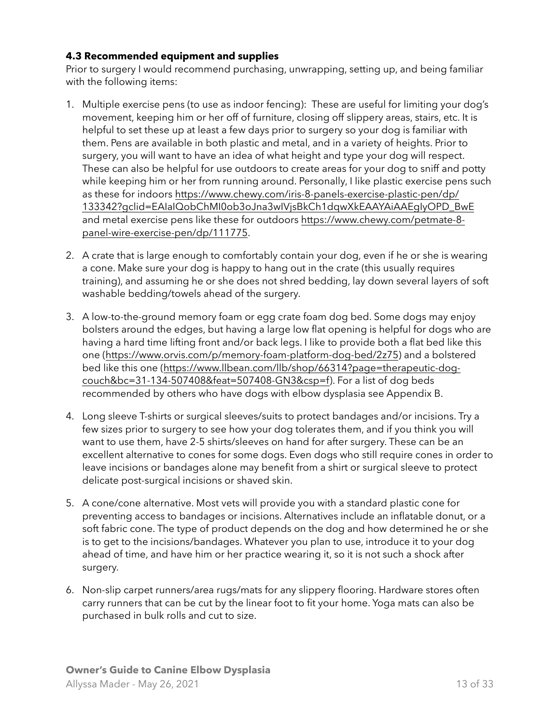#### <span id="page-12-0"></span>**4.3 Recommended equipment and supplies**

Prior to surgery I would recommend purchasing, unwrapping, setting up, and being familiar with the following items:

- 1. Multiple exercise pens (to use as indoor fencing): These are useful for limiting your dog's movement, keeping him or her off of furniture, closing off slippery areas, stairs, etc. It is helpful to set these up at least a few days prior to surgery so your dog is familiar with them. Pens are available in both plastic and metal, and in a variety of heights. Prior to surgery, you will want to have an idea of what height and type your dog will respect. These can also be helpful for use outdoors to create areas for your dog to sniff and potty while keeping him or her from running around. Personally, I like plastic exercise pens such as these for indoors [https://www.chewy.com/iris-8-panels-exercise-plastic-pen/dp/](https://www.chewy.com/iris-8-panels-exercise-plastic-pen/dp/133342?gclid=EAIaIQobChMI0ob3oJna3wIVjsBkCh1dqwXkEAAYAiAAEgIyOPD_BwE) [133342?gclid=EAIaIQobChMI0ob3oJna3wIVjsBkCh1dqwXkEAAYAiAAEgIyOPD\\_BwE](https://www.chewy.com/iris-8-panels-exercise-plastic-pen/dp/133342?gclid=EAIaIQobChMI0ob3oJna3wIVjsBkCh1dqwXkEAAYAiAAEgIyOPD_BwE) and metal exercise pens like these for outdoors [https://www.chewy.com/petmate-8](https://www.chewy.com/petmate-8-panel-wire-exercise-pen/dp/111775) [panel-wire-exercise-pen/dp/111775.](https://www.chewy.com/petmate-8-panel-wire-exercise-pen/dp/111775)
- 2. A crate that is large enough to comfortably contain your dog, even if he or she is wearing a cone. Make sure your dog is happy to hang out in the crate (this usually requires training), and assuming he or she does not shred bedding, lay down several layers of soft washable bedding/towels ahead of the surgery.
- 3. A low-to-the-ground memory foam or egg crate foam dog bed. Some dogs may enjoy bolsters around the edges, but having a large low flat opening is helpful for dogs who are having a hard time lifting front and/or back legs. I like to provide both a flat bed like this one [\(https://www.orvis.com/p/memory-foam-platform-dog-bed/2z75\)](https://www.orvis.com/p/memory-foam-platform-dog-bed/2z75) and a bolstered [bed like this one \(https://www.llbean.com/llb/shop/66314?page=therapeutic-dog](https://www.llbean.com/llb/shop/66314?page=therapeutic-dog-couch&bc=31-134-507408&feat=507408-GN3&csp=f)[couch&bc=31-134-507408&feat=507408-GN3&csp=f](https://www.llbean.com/llb/shop/66314?page=therapeutic-dog-couch&bc=31-134-507408&feat=507408-GN3&csp=f)). For a list of dog beds recommended by others who have dogs with elbow dysplasia see Appendix B.
- 4. Long sleeve T-shirts or surgical sleeves/suits to protect bandages and/or incisions. Try a few sizes prior to surgery to see how your dog tolerates them, and if you think you will want to use them, have 2-5 shirts/sleeves on hand for after surgery. These can be an excellent alternative to cones for some dogs. Even dogs who still require cones in order to leave incisions or bandages alone may benefit from a shirt or surgical sleeve to protect delicate post-surgical incisions or shaved skin.
- 5. A cone/cone alternative. Most vets will provide you with a standard plastic cone for preventing access to bandages or incisions. Alternatives include an inflatable donut, or a soft fabric cone. The type of product depends on the dog and how determined he or she is to get to the incisions/bandages. Whatever you plan to use, introduce it to your dog ahead of time, and have him or her practice wearing it, so it is not such a shock after surgery.
- 6. Non-slip carpet runners/area rugs/mats for any slippery flooring. Hardware stores often carry runners that can be cut by the linear foot to fit your home. Yoga mats can also be purchased in bulk rolls and cut to size.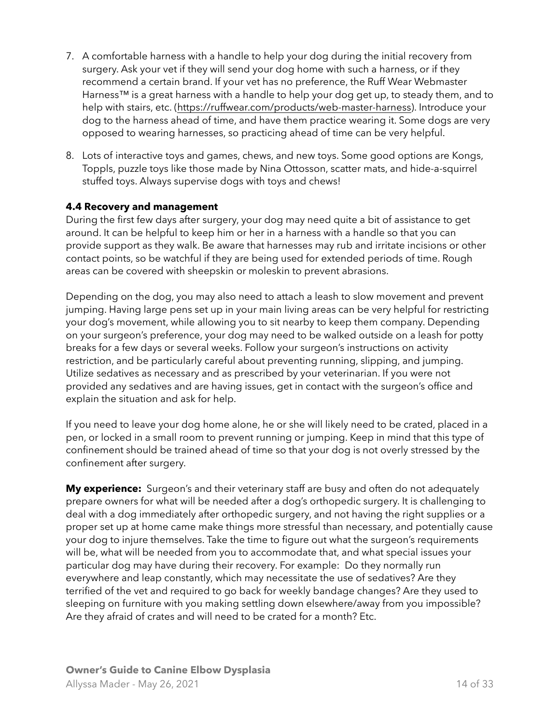- 7. A comfortable harness with a handle to help your dog during the initial recovery from surgery. Ask your vet if they will send your dog home with such a harness, or if they recommend a certain brand. If your vet has no preference, the Ruff Wear Webmaster Harness<sup>™</sup> is a great harness with a handle to help your dog get up, to steady them, and to help with stairs, etc. ([https://ruffwear.com/products/web-master-harness\)](https://ruffwear.com/products/web-master-harness). Introduce your dog to the harness ahead of time, and have them practice wearing it. Some dogs are very opposed to wearing harnesses, so practicing ahead of time can be very helpful.
- 8. Lots of interactive toys and games, chews, and new toys. Some good options are Kongs, Toppls, puzzle toys like those made by Nina Ottosson, scatter mats, and hide-a-squirrel stuffed toys. Always supervise dogs with toys and chews!

#### <span id="page-13-0"></span>**4.4 Recovery and management**

During the first few days after surgery, your dog may need quite a bit of assistance to get around. It can be helpful to keep him or her in a harness with a handle so that you can provide support as they walk. Be aware that harnesses may rub and irritate incisions or other contact points, so be watchful if they are being used for extended periods of time. Rough areas can be covered with sheepskin or moleskin to prevent abrasions.

Depending on the dog, you may also need to attach a leash to slow movement and prevent jumping. Having large pens set up in your main living areas can be very helpful for restricting your dog's movement, while allowing you to sit nearby to keep them company. Depending on your surgeon's preference, your dog may need to be walked outside on a leash for potty breaks for a few days or several weeks. Follow your surgeon's instructions on activity restriction, and be particularly careful about preventing running, slipping, and jumping. Utilize sedatives as necessary and as prescribed by your veterinarian. If you were not provided any sedatives and are having issues, get in contact with the surgeon's office and explain the situation and ask for help.

If you need to leave your dog home alone, he or she will likely need to be crated, placed in a pen, or locked in a small room to prevent running or jumping. Keep in mind that this type of confinement should be trained ahead of time so that your dog is not overly stressed by the confinement after surgery.

**My experience:** Surgeon's and their veterinary staff are busy and often do not adequately prepare owners for what will be needed after a dog's orthopedic surgery. It is challenging to deal with a dog immediately after orthopedic surgery, and not having the right supplies or a proper set up at home came make things more stressful than necessary, and potentially cause your dog to injure themselves. Take the time to figure out what the surgeon's requirements will be, what will be needed from you to accommodate that, and what special issues your particular dog may have during their recovery. For example: Do they normally run everywhere and leap constantly, which may necessitate the use of sedatives? Are they terrified of the vet and required to go back for weekly bandage changes? Are they used to sleeping on furniture with you making settling down elsewhere/away from you impossible? Are they afraid of crates and will need to be crated for a month? Etc.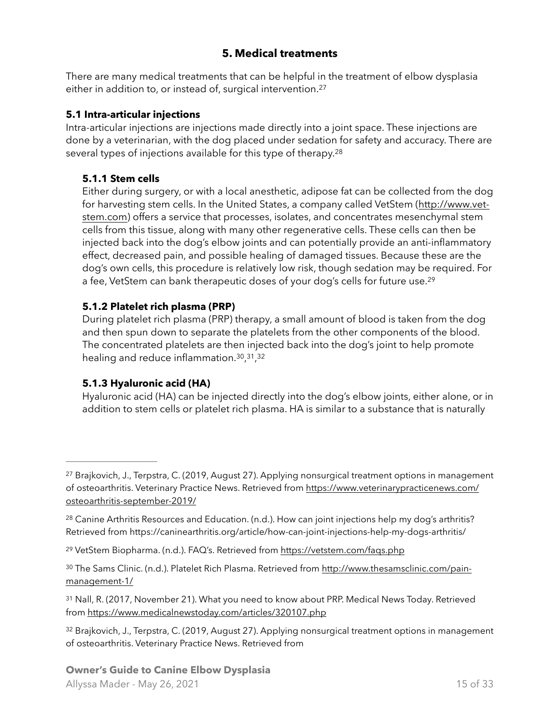### <span id="page-14-13"></span><span id="page-14-12"></span><span id="page-14-11"></span><span id="page-14-0"></span>**5. Medical treatments**

There are many medical treatments that can be helpful in the treatment of elbow dysplasia either in addition to, or instead of, surgical intervention.[27](#page-14-5)

#### <span id="page-14-1"></span>**5.1 Intra-articular injections**

Intra-articular injections are injections made directly into a joint space. These injections are done by a veterinarian, with the dog placed under sedation for safety and accuracy. There are several types of injections available for this type of therapy.<sup>28</sup>

#### <span id="page-14-2"></span>**5.1.1 Stem cells**

Either during surgery, or with a local anesthetic, adipose fat can be collected from the dog for harvesting stem cells. In the United States, a company called VetStem ([http://www.vet](http://www.vet-stem.com)[stem.com](http://www.vet-stem.com)) offers a service that processes, isolates, and concentrates mesenchymal stem cells from this tissue, along with many other regenerative cells. These cells can then be injected back into the dog's elbow joints and can potentially provide an anti-inflammatory effect, decreased pain, and possible healing of damaged tissues. Because these are the dog's own cells, this procedure is relatively low risk, though sedation may be required. For a fee, VetStem can bank therapeutic doses of your dog's cells for future use.<sup>[29](#page-14-7)</sup>

#### <span id="page-14-3"></span>**5.1.2 Platelet rich plasma (PRP)**

During platelet rich plasma (PRP) therapy, a small amount of blood is taken from the dog and then spun down to separate the platelets from the other components of the blood. The concentrated platelets are then injected back into the dog's joint to help promote healing and reduce inflammation.  $30, 31, 32$  $30, 31, 32$  $30, 31, 32$  $30, 31, 32$  $30, 31, 32$ 

#### <span id="page-14-16"></span><span id="page-14-15"></span><span id="page-14-14"></span><span id="page-14-4"></span>**5.1.3 Hyaluronic acid (HA)**

Hyaluronic acid (HA) can be injected directly into the dog's elbow joints, either alone, or in addition to stem cells or platelet rich plasma. HA is similar to a substance that is naturally

<span id="page-14-5"></span><sup>&</sup>lt;sup>27</sup>Brajkovich, J., Terpstra, C. (2019, August [27](#page-14-11)). Applying nonsurgical treatment options in management of osteoarthritis. Veterinary Practice News. Retrieved from [https://www.veterinarypracticenews.com/](https://www.veterinarypracticenews.com/osteoarthritis-september-2019/) [osteoarthritis-september-2019/](https://www.veterinarypracticenews.com/osteoarthritis-september-2019/)

<span id="page-14-6"></span><sup>&</sup>lt;sup>28</sup>Canine Arthritis Resources and Education. (n.d.). How can joint injections help my dog's arthritis? Retrieved from https://caninearthritis.org/article/how-can-joint-injections-help-my-dogs-arthritis/

<span id="page-14-7"></span>[<sup>29</sup>](#page-14-13) VetStem Biopharma. (n.d.). FAQ's. Retrieved from <https://vetstem.com/faqs.php>

<span id="page-14-8"></span><sup>30</sup> The Sams Clinic. (n.d.). Platelet Rich Plasma. Retrieved from [http://www.thesamsclinic.com/pain](http://www.thesamsclinic.com/pain-management-1/) [management-1/](http://www.thesamsclinic.com/pain-management-1/)

<span id="page-14-9"></span><sup>31</sup>Nall, R. (2017, November 21). What you need to know about PRP. Medical News Today. Retrieved from <https://www.medicalnewstoday.com/articles/320107.php>

<span id="page-14-10"></span><sup>32</sup>Brajkovich, J., Terpstra, C. (2019, August 27). Applying nonsurgical treatment options in management of osteoarthritis. Veterinary Practice News. Retrieved from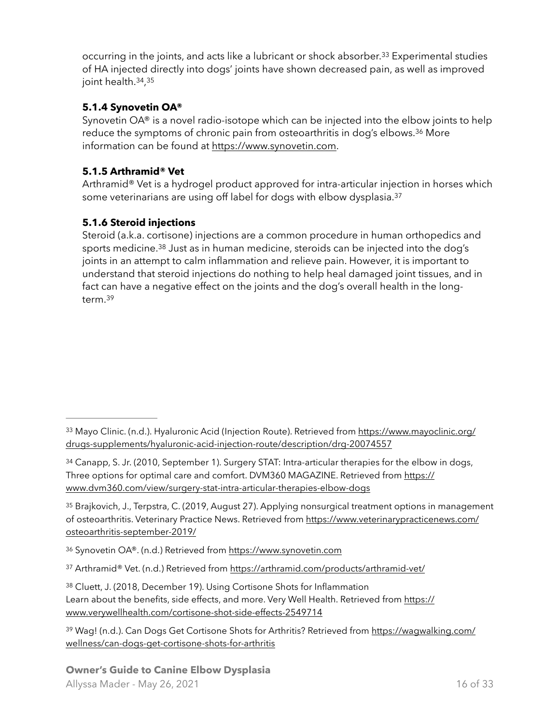<span id="page-15-12"></span><span id="page-15-11"></span><span id="page-15-10"></span>occurring in the joints, and acts like a lubricant or shock absorber.<sup>[33](#page-15-3)</sup> Experimental studies of HA injected directly into dogs' joints have shown decreased pain, as well as improved joint health. [34](#page-15-4), [35](#page-15-5)

## <span id="page-15-0"></span>**5.1.4 Synovetin OA®**

<span id="page-15-13"></span>Synovetin OA® is a novel radio-isotope which can be injected into the elbow joints to help reduce the symptoms of chronic pain from osteoarthritis in dog's elbows.<sup>[36](#page-15-6)</sup> More information can be found at [https://www.synovetin.com.](https://www.synovetin.com)

## <span id="page-15-1"></span>**5.1.5 Arthramid® Vet**

<span id="page-15-14"></span>Arthramid® Vet is a hydrogel product approved for intra-articular injection in horses which some veterinarians are using off label for dogs with elbow dysplasia.<sup>37</sup>

## <span id="page-15-2"></span>**5.1.6 Steroid injections**

<span id="page-15-16"></span><span id="page-15-15"></span>Steroid (a.k.a. cortisone) injections are a common procedure in human orthopedics and sports medicine.<sup>[38](#page-15-8)</sup> Just as in human medicine, steroids can be injected into the dog's joints in an attempt to calm inflammation and relieve pain. However, it is important to understand that steroid injections do nothing to help heal damaged joint tissues, and in fact can have a negative effect on the joints and the dog's overall health in the longterm[. 39](#page-15-9)

<span id="page-15-6"></span>[36](#page-15-13) Synovetin OA®. (n.d.) Retrieved from<https://www.synovetin.com>

<span id="page-15-7"></span>37 Arthramid® Vet. (n.d.) Retrieved from <https://arthramid.com/products/arthramid-vet/>

<span id="page-15-8"></span>[38](#page-15-15) Cluett, J. (2018, December 19). Using Cortisone Shots for Inflammation Learn about the benefits, side effects, and more. Very Well Health. Retrieved from [https://](https://www.verywellhealth.com/cortisone-shot-side-effects-2549714) [www.verywellhealth.com/cortisone-shot-side-effects-2549714](https://www.verywellhealth.com/cortisone-shot-side-effects-2549714)

<span id="page-15-9"></span><sup>39</sup> Wag! (n.d.). Can Dogs Get Cortisone Shots for Arthritis? Retrieved from [https://wagwalking.com/](https://wagwalking.com/wellness/can-dogs-get-cortisone-shots-for-arthritis) [wellness/can-dogs-get-cortisone-shots-for-arthritis](https://wagwalking.com/wellness/can-dogs-get-cortisone-shots-for-arthritis)

#### **Owner's Guide to Canine Elbow Dysplasia** Allyssa Mader - May 26, 2021 16 of 33

<span id="page-15-3"></span><sup>33</sup> [Mayo Clinic. \(n.d.\). Hyaluronic Acid \(Injection Route\). Retrieved from https://www.mayoclinic.org/](https://www.mayoclinic.org/drugs-supplements/hyaluronic-acid-injection-route/description/drg-20074557) [drugs-supplements/hyaluronic-acid-injection-route/description/drg-20074557](https://www.mayoclinic.org/drugs-supplements/hyaluronic-acid-injection-route/description/drg-20074557)

<span id="page-15-4"></span><sup>34</sup>Canapp, S. Jr. (2010, September 1). Surgery STAT: Intra-articular therapies for the elbow in dogs, Three options for optimal care and comfort. DVM360 MAGAZINE. Retrieved from [https://](https://www.dvm360.com/view/surgery-stat-intra-articular-therapies-elbow-dogs) [www.dvm360.com/view/surgery-stat-intra-articular-therapies-elbow-dogs](https://www.dvm360.com/view/surgery-stat-intra-articular-therapies-elbow-dogs)

<span id="page-15-5"></span><sup>35</sup>Brajkovich, J., Terpstra, C. (2019, August 27). Applying nonsurgical treatment options in management of osteoarthritis. Veterinary Practice News. Retrieved from [https://www.veterinarypracticenews.com/](https://www.veterinarypracticenews.com/osteoarthritis-september-2019/) [osteoarthritis-september-2019/](https://www.veterinarypracticenews.com/osteoarthritis-september-2019/)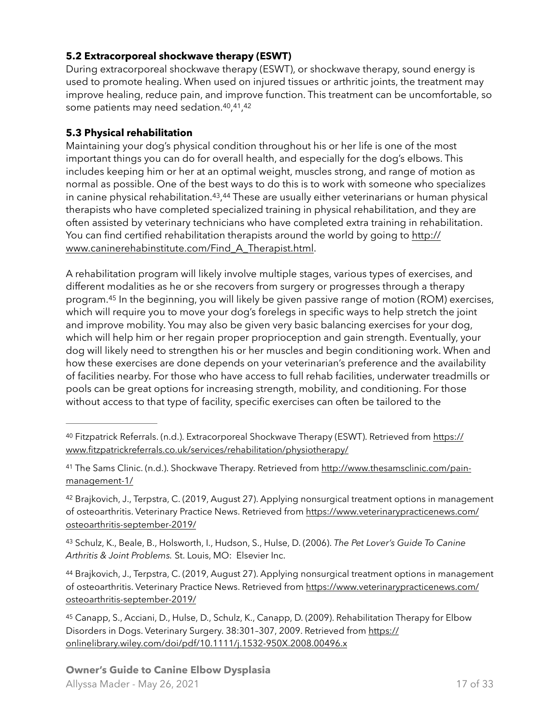#### <span id="page-16-0"></span>**5.2 Extracorporeal shockwave therapy (ESWT)**

During extracorporeal shockwave therapy (ESWT), or shockwave therapy, sound energy is used to promote healing. When used on injured tissues or arthritic joints, the treatment may improve healing, reduce pain, and improve function. This treatment can be uncomfortable, so some patients may need sedation.<sup>[40](#page-16-2)</sup>,<sup>[41](#page-16-3)</sup>,<sup>[42](#page-16-4)</sup>

### <span id="page-16-10"></span><span id="page-16-9"></span><span id="page-16-8"></span><span id="page-16-1"></span>**5.3 Physical rehabilitation**

<span id="page-16-12"></span><span id="page-16-11"></span>Maintaining your dog's physical condition throughout his or her life is one of the most important things you can do for overall health, and especially for the dog's elbows. This includes keeping him or her at an optimal weight, muscles strong, and range of motion as normal as possible. One of the best ways to do this is to work with someone who specializes in canine physical rehabilitation.<sup>43</sup>[,](#page-16-5)<sup>44</sup> These are usually either veterinarians or human physical therapists who have completed specialized training in physical rehabilitation, and they are often assisted by veterinary technicians who have completed extra training in rehabilitation. You can find certified rehabilitation therapists around the world by going to [http://](http://www.caninerehabinstitute.com/Find_A_Therapist.html) [www.caninerehabinstitute.com/Find\\_A\\_Therapist.html.](http://www.caninerehabinstitute.com/Find_A_Therapist.html)

<span id="page-16-13"></span>A rehabilitation program will likely involve multiple stages, various types of exercises, and different modalities as he or she recovers from surgery or progresses through a therapy program.<sup>[45](#page-16-7)</sup> In the beginning, you will likely be given passive range of motion (ROM) exercises, which will require you to move your dog's forelegs in specific ways to help stretch the joint and improve mobility. You may also be given very basic balancing exercises for your dog, which will help him or her regain proper proprioception and gain strength. Eventually, your dog will likely need to strengthen his or her muscles and begin conditioning work. When and how these exercises are done depends on your veterinarian's preference and the availability of facilities nearby. For those who have access to full rehab facilities, underwater treadmills or pools can be great options for increasing strength, mobility, and conditioning. For those without access to that type of facility, specific exercises can often be tailored to the

<span id="page-16-4"></span>42Brajkovich, J., Terpstra, C. (2019, August 27). Applying nonsurgical treatment options in management of osteoarthritis. Veterinary Practice News. Retrieved from [https://www.veterinarypracticenews.com/](https://www.veterinarypracticenews.com/osteoarthritis-september-2019/) [osteoarthritis-september-2019/](https://www.veterinarypracticenews.com/osteoarthritis-september-2019/)

<span id="page-16-5"></span> Schulz, K., Beale, B., Holsworth, I., Hudson, S., Hulse, D. (2006). *The Pet Lover's Guide To Canine* [43](#page-16-11) *Arthritis & Joint Problems.* St. Louis, MO: Elsevier Inc.

<span id="page-16-6"></span>44Brajkovich, J., Terpstra, C. (2019, August 27). Applying nonsurgical treatment options in management of osteoarthritis. Veterinary Practice News. Retrieved from [https://www.veterinarypracticenews.com/](https://www.veterinarypracticenews.com/osteoarthritis-september-2019/) [osteoarthritis-september-2019/](https://www.veterinarypracticenews.com/osteoarthritis-september-2019/)

<span id="page-16-7"></span>45Canapp, S., Acciani, D., Hulse, D., Schulz, K., Canapp, D. (2009). Rehabilitation Therapy for Elbow Disorders in Dogs. Veterinary Surgery. 38:301–307, 2009. Retrieved from [https://](https://onlinelibrary.wiley.com/doi/pdf/10.1111/j.1532-950X.2008.00496.x) [onlinelibrary.wiley.com/doi/pdf/10.1111/j.1532-950X.2008.00496.x](https://onlinelibrary.wiley.com/doi/pdf/10.1111/j.1532-950X.2008.00496.x)

<span id="page-16-2"></span><sup>&</sup>lt;sup>40</sup> Fitzpatrick Referrals. (n.d.). Extracorporeal Shockwave Therapy (ESWT). Retrieved from [https://](https://www.fitzpatrickreferrals.co.uk/services/rehabilitation/physiotherapy/) [www.fitzpatrickreferrals.co.uk/services/rehabilitation/physiotherapy/](https://www.fitzpatrickreferrals.co.uk/services/rehabilitation/physiotherapy/)

<span id="page-16-3"></span><sup>41</sup> The Sams Clinic. (n.d.). Shockwave Therapy. Retrieved from [http://www.thesamsclinic.com/pain](http://www.thesamsclinic.com/pain-management-1/) [management-1/](http://www.thesamsclinic.com/pain-management-1/)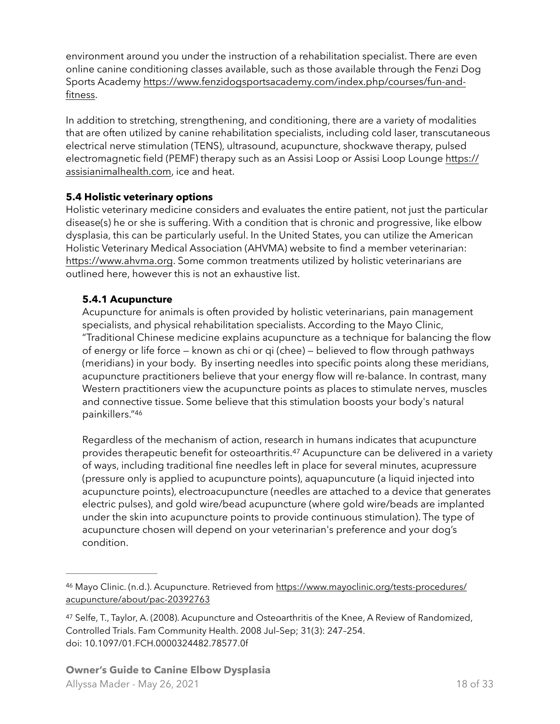environment around you under the instruction of a rehabilitation specialist. There are even online canine conditioning classes available, such as those available through the Fenzi Dog Sports Academy [https://www.fenzidogsportsacademy.com/index.php/courses/fun-and](https://www.fenzidogsportsacademy.com/index.php/courses/fun-and-fitness)[fitness.](https://www.fenzidogsportsacademy.com/index.php/courses/fun-and-fitness)

In addition to stretching, strengthening, and conditioning, there are a variety of modalities that are often utilized by canine rehabilitation specialists, including cold laser, transcutaneous electrical nerve stimulation (TENS), ultrasound, acupuncture, shockwave therapy, pulsed electromagnetic field (PEMF) therapy such as an Assisi Loop or Assisi Loop Lounge [https://](https://assisianimalhealth.com) [assisianimalhealth.com](https://assisianimalhealth.com), ice and heat.

#### <span id="page-17-0"></span>**5.4 Holistic veterinary options**

Holistic veterinary medicine considers and evaluates the entire patient, not just the particular disease(s) he or she is suffering. With a condition that is chronic and progressive, like elbow dysplasia, this can be particularly useful. In the United States, you can utilize the American Holistic Veterinary Medical Association (AHVMA) website to find a member veterinarian: <https://www.ahvma.org>. Some common treatments utilized by holistic veterinarians are outlined here, however this is not an exhaustive list.

### <span id="page-17-1"></span>**5.4.1 Acupuncture**

Acupuncture for animals is often provided by holistic veterinarians, pain management specialists, and physical rehabilitation specialists. According to the Mayo Clinic, "Traditional Chinese medicine explains acupuncture as a technique for balancing the flow of energy or life force — known as chi or qi (chee) — believed to flow through pathways (meridians) in your body. By inserting needles into specific points along these meridians, acupuncture practitioners believe that your energy flow will re-balance. In contrast, many Western practitioners view the acupuncture points as places to stimulate nerves, muscles and connective tissue. Some believe that this stimulation boosts your body's natural painkillers.["46](#page-17-2)

<span id="page-17-5"></span><span id="page-17-4"></span>Regardless of the mechanism of action, research in humans indicates that acupuncture provides therapeutic benefit for osteoarthritis.<sup>[47](#page-17-3)</sup> Acupuncture can be delivered in a variety of ways, including traditional fine needles left in place for several minutes, acupressure (pressure only is applied to acupuncture points), aquapuncuture (a liquid injected into acupuncture points), electroacupuncture (needles are attached to a device that generates electric pulses), and gold wire/bead acupuncture (where gold wire/beads are implanted under the skin into acupuncture points to provide continuous stimulation). The type of acupuncture chosen will depend on your veterinarian's preference and your dog's condition.

<span id="page-17-2"></span><sup>46</sup> Mayo Clinic. (n.d.). Acupuncture. Retrieved from [https://www.mayoclinic.org/tests-procedures/](https://www.mayoclinic.org/tests-procedures/acupuncture/about/pac-20392763) [acupuncture/about/pac-20392763](https://www.mayoclinic.org/tests-procedures/acupuncture/about/pac-20392763)

<span id="page-17-3"></span><sup>47</sup>Selfe, T., Taylor, A. (2008). Acupuncture and Osteoarthritis of the Knee, A Review of Randomized, Controlled Trials. Fam Community Health. 2008 Jul–Sep; 31(3): 247–254. doi: 10.1097/01.FCH.0000324482.78577.0f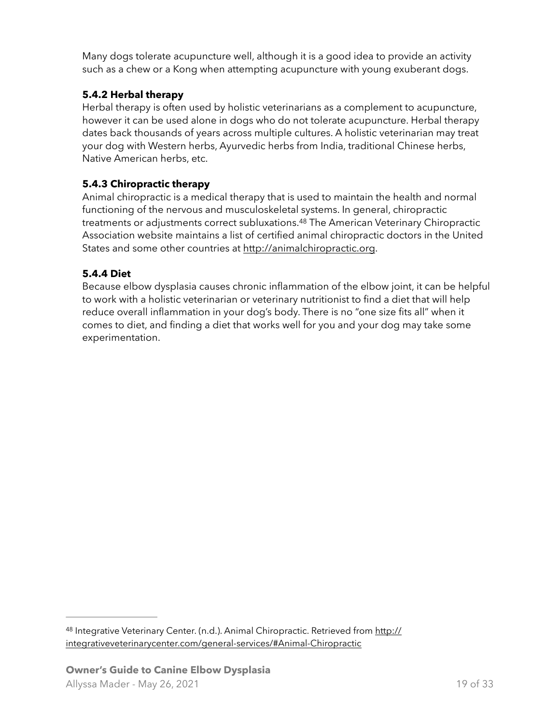Many dogs tolerate acupuncture well, although it is a good idea to provide an activity such as a chew or a Kong when attempting acupuncture with young exuberant dogs.

## <span id="page-18-0"></span>**5.4.2 Herbal therapy**

Herbal therapy is often used by holistic veterinarians as a complement to acupuncture, however it can be used alone in dogs who do not tolerate acupuncture. Herbal therapy dates back thousands of years across multiple cultures. A holistic veterinarian may treat your dog with Western herbs, Ayurvedic herbs from India, traditional Chinese herbs, Native American herbs, etc.

### <span id="page-18-1"></span>**5.4.3 Chiropractic therapy**

<span id="page-18-4"></span>Animal chiropractic is a medical therapy that is used to maintain the health and normal functioning of the nervous and musculoskeletal systems. In general, chiropractic treatments or adjustments correct subluxations.<sup>[48](#page-18-3)</sup> The American Veterinary Chiropractic Association website maintains a list of certified animal chiropractic doctors in the United States and some other countries at <http://animalchiropractic.org>.

## <span id="page-18-2"></span>**5.4.4 Diet**

Because elbow dysplasia causes chronic inflammation of the elbow joint, it can be helpful to work with a holistic veterinarian or veterinary nutritionist to find a diet that will help reduce overall inflammation in your dog's body. There is no "one size fits all" when it comes to diet, and finding a diet that works well for you and your dog may take some experimentation.

<span id="page-18-3"></span>48 Integrative Veterinary Center. (n.d.). Animal Chiropractic. Retrieved from [http://](http://integrativeveterinarycenter.com/general-services/#Animal-Chiropractic) [integrativeveterinarycenter.com/general-services/#Animal-Chiropractic](http://integrativeveterinarycenter.com/general-services/#Animal-Chiropractic)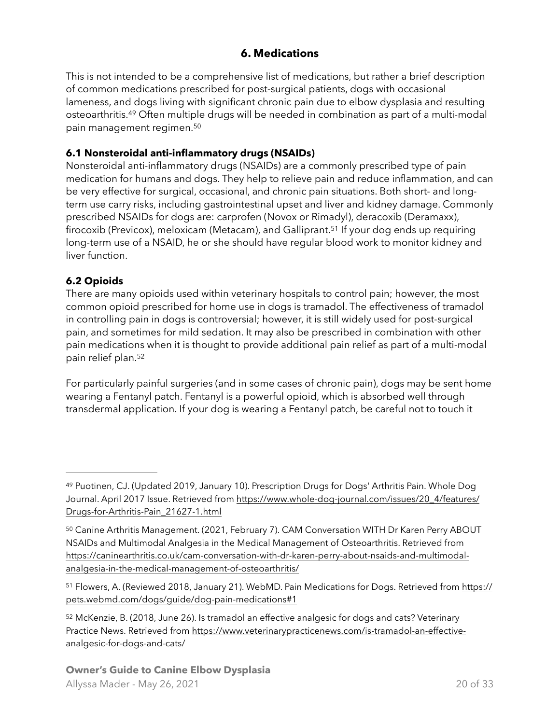## <span id="page-19-9"></span><span id="page-19-8"></span><span id="page-19-0"></span>**6. Medications**

<span id="page-19-7"></span>This is not intended to be a comprehensive list of medications, but rather a brief description of common medications prescribed for post-surgical patients, dogs with occasional lameness, and dogs living with significant chronic pain due to elbow dysplasia and resulting osteoarthritis.<sup>[49](#page-19-3)</sup> Often multiple drugs will be needed in combination as part of a multi-modal pain management regimen.[50](#page-19-4)

#### <span id="page-19-1"></span>**6.1 Nonsteroidal anti-inflammatory drugs (NSAIDs)**

Nonsteroidal anti-inflammatory drugs (NSAIDs) are a commonly prescribed type of pain medication for humans and dogs. They help to relieve pain and reduce inflammation, and can be very effective for surgical, occasional, and chronic pain situations. Both short- and longterm use carry risks, including gastrointestinal upset and liver and kidney damage. Commonly prescribed NSAIDs for dogs are: carprofen (Novox or Rimadyl), deracoxib (Deramaxx), firocoxib (Previcox), meloxicam (Metacam), and Galliprant.<sup>[51](#page-19-5)</sup> If your dog ends up requiring long-term use of a NSAID, he or she should have regular blood work to monitor kidney and liver function.

## <span id="page-19-2"></span>**6.2 Opioids**

There are many opioids used within veterinary hospitals to control pain; however, the most common opioid prescribed for home use in dogs is tramadol. The effectiveness of tramadol in controlling pain in dogs is controversial; however, it is still widely used for post-surgical pain, and sometimes for mild sedation. It may also be prescribed in combination with other pain medications when it is thought to provide additional pain relief as part of a multi-modal pain relief plan.[52](#page-19-6)

<span id="page-19-10"></span>For particularly painful surgeries (and in some cases of chronic pain), dogs may be sent home wearing a Fentanyl patch. Fentanyl is a powerful opioid, which is absorbed well through transdermal application. If your dog is wearing a Fentanyl patch, be careful not to touch it

<span id="page-19-3"></span><sup>49</sup>Puotinen, CJ. (Updated 2019, January 10). Prescription Drugs for Dogs' Arthritis Pain. Whole Dog Journal. April 2017 Issue. Retrieved from [https://www.whole-dog-journal.com/issues/20\\_4/features/](https://www.whole-dog-journal.com/issues/20_4/features/Drugs-for-Arthritis-Pain_21627-1.html) [Drugs-for-Arthritis-Pain\\_21627-1.html](https://www.whole-dog-journal.com/issues/20_4/features/Drugs-for-Arthritis-Pain_21627-1.html)

<span id="page-19-4"></span><sup>&</sup>lt;sup>50</sup>Canine Arthritis Management. (2021, February 7). CAM Conversation WITH Dr Karen Perry ABOUT NSAIDs and Multimodal Analgesia in the Medical Management of Osteoarthritis. Retrieved from [https://caninearthritis.co.uk/cam-conversation-with-dr-karen-perry-about-nsaids-and-multimodal](https://caninearthritis.co.uk/cam-conversation-with-dr-karen-perry-about-nsaids-and-multimodal-analgesia-in-the-medical-management-of-osteoarthritis/)[analgesia-in-the-medical-management-of-osteoarthritis/](https://caninearthritis.co.uk/cam-conversation-with-dr-karen-perry-about-nsaids-and-multimodal-analgesia-in-the-medical-management-of-osteoarthritis/)

<span id="page-19-5"></span><sup>&</sup>lt;sup>51</sup> Flowers, A. (Reviewed 2018, January 21). WebMD. Pain Medications for Dogs. Retrieved from [https://](https://pets.webmd.com/dogs/guide/dog-pain-medications#1) [pets.webmd.com/dogs/guide/dog-pain-medications#1](https://pets.webmd.com/dogs/guide/dog-pain-medications#1)

<span id="page-19-6"></span><sup>52</sup>McKenzie, B. (2018, June 26). Is tramadol an effective analgesic for dogs and cats? Veterinary Practice News. Retrieved from [https://www.veterinarypracticenews.com/is-tramadol-an-effective](https://www.veterinarypracticenews.com/is-tramadol-an-effective-analgesic-for-dogs-and-cats/)[analgesic-for-dogs-and-cats/](https://www.veterinarypracticenews.com/is-tramadol-an-effective-analgesic-for-dogs-and-cats/)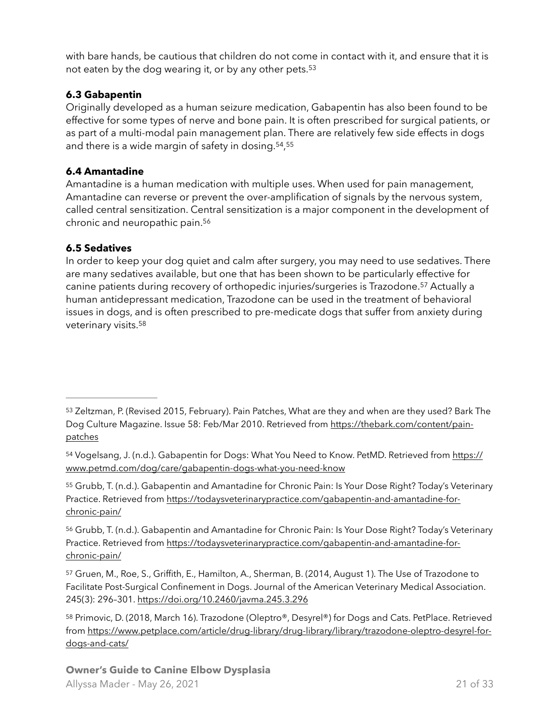<span id="page-20-9"></span>with bare hands, be cautious that children do not come in contact with it, and ensure that it is not eaten by the dog wearing it, or by any other pets[. 53](#page-20-3)

### <span id="page-20-0"></span>**6.3 Gabapentin**

Originally developed as a human seizure medication, Gabapentin has also been found to be effective for some types of nerve and bone pain. It is often prescribed for surgical patients, or as part of a multi-modal pain management plan. There are relatively few side effects in dogs and there is a wide margin of safety in dosing.<sup>[54](#page-20-4)</sup>,<sup>[55](#page-20-5)</sup>

## <span id="page-20-11"></span><span id="page-20-10"></span><span id="page-20-1"></span>**6.4 Amantadine**

Amantadine is a human medication with multiple uses. When used for pain management, Amantadine can reverse or prevent the over-amplification of signals by the nervous system, called central sensitization. Central sensitization is a major component in the development of chronic and neuropathic pain.[56](#page-20-6)

## <span id="page-20-12"></span><span id="page-20-2"></span>**6.5 Sedatives**

<span id="page-20-14"></span><span id="page-20-13"></span>In order to keep your dog quiet and calm after surgery, you may need to use sedatives. There are many sedatives available, but one that has been shown to be particularly effective for canine patients during recovery of orthopedic injuries/surgeries is Trazodone.<sup>[57](#page-20-7)</sup> Actually a human antidepressant medication, Trazodone can be used in the treatment of behavioral issues in dogs, and is often prescribed to pre-medicate dogs that suffer from anxiety during veterinary visits[.58](#page-20-8)

<span id="page-20-5"></span>55Grubb, T. (n.d.). Gabapentin and Amantadine for Chronic Pain: Is Your Dose Right? Today's Veterinary Practice. Retrieved from [https://todaysveterinarypractice.com/gabapentin-and-amantadine-for](https://todaysveterinarypractice.com/gabapentin-and-amantadine-for-chronic-pain/)[chronic-pain/](https://todaysveterinarypractice.com/gabapentin-and-amantadine-for-chronic-pain/)

<span id="page-20-6"></span>56Grubb, T. (n.d.). Gabapentin and Amantadine for Chronic Pain: Is Your Dose Right? Today's Veterinary Practice. Retrieved from [https://todaysveterinarypractice.com/gabapentin-and-amantadine-for](https://todaysveterinarypractice.com/gabapentin-and-amantadine-for-chronic-pain/)[chronic-pain/](https://todaysveterinarypractice.com/gabapentin-and-amantadine-for-chronic-pain/)

<span id="page-20-7"></span>57Gruen, M., Roe, S., Griffith, E., Hamilton, A., Sherman, B. (2014, August 1). The Use of Trazodone to Facilitate Post-Surgical Confinement in Dogs. Journal of the American Veterinary Medical Association. 245(3): 296–301.<https://doi.org/10.2460/javma.245.3.296>

<span id="page-20-8"></span>58Primovic, D. (2018, March 16). Trazodone (Oleptro®, Desyrel®) for Dogs and Cats. PetPlace. Retrieved [from https://www.petplace.com/article/drug-library/drug-library/library/trazodone-oleptro-desyrel-for](https://www.petplace.com/article/drug-library/drug-library/library/trazodone-oleptro-desyrel-for-dogs-and-cats/)[dogs-and-cats/](https://www.petplace.com/article/drug-library/drug-library/library/trazodone-oleptro-desyrel-for-dogs-and-cats/)

#### **Owner's Guide to Canine Elbow Dysplasia** Allyssa Mader - May 26, 2021 21 of 33

<span id="page-20-3"></span><sup>53</sup>Zeltzman, P. (Revised 2015, February). Pain Patches, What are they and when are they used? Bark The Dog Culture Magazine. Issue 58: Feb/Mar 2010. Retrieved from [https://thebark.com/content/pain](https://thebark.com/content/pain-patches)[patches](https://thebark.com/content/pain-patches)

<span id="page-20-4"></span><sup>54</sup> Vogelsang, J. (n.d.). Gabapentin for Dogs: What You Need to Know. PetMD. Retrieved from [https://](https://www.petmd.com/dog/care/gabapentin-dogs-what-you-need-know) [www.petmd.com/dog/care/gabapentin-dogs-what-you-need-know](https://www.petmd.com/dog/care/gabapentin-dogs-what-you-need-know)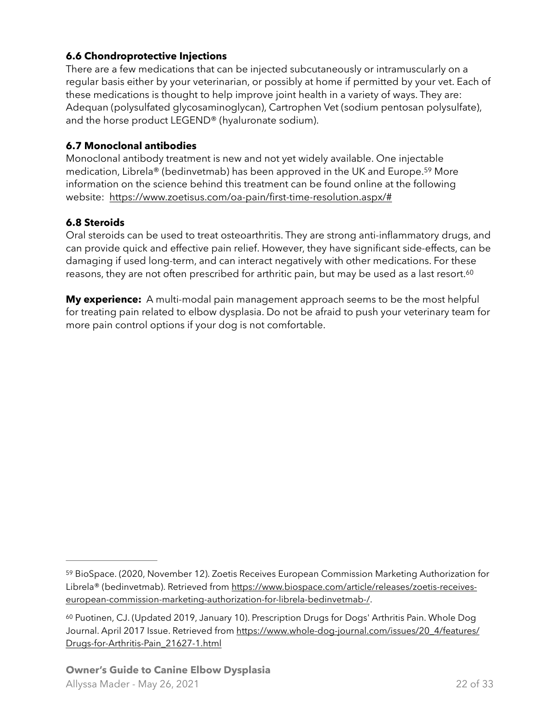#### <span id="page-21-0"></span>**6.6 Chondroprotective Injections**

There are a few medications that can be injected subcutaneously or intramuscularly on a regular basis either by your veterinarian, or possibly at home if permitted by your vet. Each of these medications is thought to help improve joint health in a variety of ways. They are: Adequan (polysulfated glycosaminoglycan), Cartrophen Vet (sodium pentosan polysulfate), and the horse product LEGEND® (hyaluronate sodium).

#### <span id="page-21-1"></span>**6.7 Monoclonal antibodies**

<span id="page-21-5"></span>Monoclonal antibody treatment is new and not yet widely available. One injectable medication, Librela® (bedinvetmab) has been approved in the UK and Europe.<sup>[59](#page-21-3)</sup> More information on the science behind this treatment can be found online at the following website: <https://www.zoetisus.com/oa-pain/first-time-resolution.aspx/#>

### <span id="page-21-2"></span>**6.8 Steroids**

Oral steroids can be used to treat osteoarthritis. They are strong anti-inflammatory drugs, and can provide quick and effective pain relief. However, they have significant side-effects, can be damaging if used long-term, and can interact negatively with other medications. For these reasons, they are not often prescribed for arthritic pain, but may be used as a last resort.<sup>[60](#page-21-4)</sup>

<span id="page-21-6"></span>**My experience:** A multi-modal pain management approach seems to be the most helpful for treating pain related to elbow dysplasia. Do not be afraid to push your veterinary team for more pain control options if your dog is not comfortable.

<span id="page-21-3"></span><sup>59</sup>BioSpace. (2020, November 12). Zoetis Receives European Commission Marketing Authorization for [Librela® \(bedinvetmab\). Retrieved from https://www.biospace.com/article/releases/zoetis-receives](https://www.biospace.com/article/releases/zoetis-receives-european-commission-marketing-authorization-for-librela-bedinvetmab-/)[european-commission-marketing-authorization-for-librela-bedinvetmab-/.](https://www.biospace.com/article/releases/zoetis-receives-european-commission-marketing-authorization-for-librela-bedinvetmab-/)

<span id="page-21-4"></span><sup>&</sup>lt;sup>60</sup>Puotinen, CJ. (Updated 2019, January 10). Prescription Drugs for Dogs' Arthritis Pain. Whole Dog Journal. April 2017 Issue. Retrieved from [https://www.whole-dog-journal.com/issues/20\\_4/features/](https://www.whole-dog-journal.com/issues/20_4/features/Drugs-for-Arthritis-Pain_21627-1.html) [Drugs-for-Arthritis-Pain\\_21627-1.html](https://www.whole-dog-journal.com/issues/20_4/features/Drugs-for-Arthritis-Pain_21627-1.html)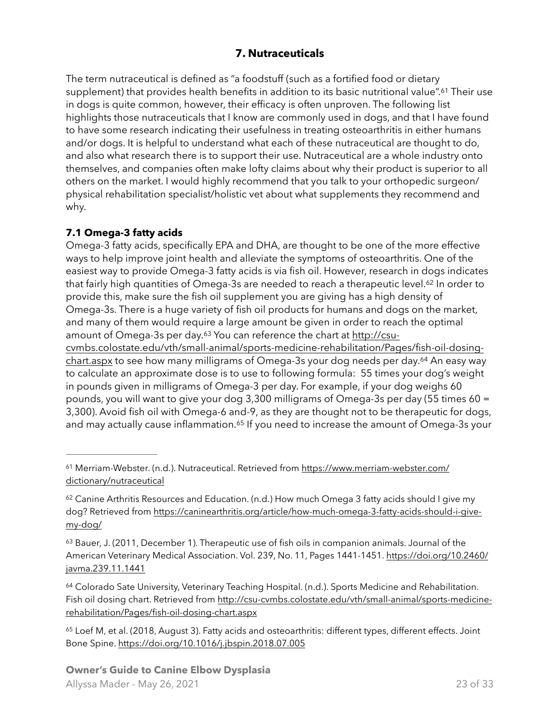## <span id="page-22-8"></span><span id="page-22-7"></span><span id="page-22-0"></span>**7. Nutraceuticals**

The term nutraceutical is defined as "a foodstuff (such as a fortified food or dietary supplement) that provides health benefits in addition to its basic nutritional value".<sup>[61](#page-22-2)</sup> Their use in dogs is quite common, however, their efficacy is often unproven. The following list highlights those nutraceuticals that I know are commonly used in dogs, and that I have found to have some research indicating their usefulness in treating osteoarthritis in either humans and/or dogs. It is helpful to understand what each of these nutraceutical are thought to do, and also what research there is to support their use. Nutraceutical are a whole industry onto themselves, and companies often make lofty claims about why their product is superior to all others on the market. I would highly recommend that you talk to your orthopedic surgeon/ physical rehabilitation specialist/holistic vet about what supplements they recommend and why.

### <span id="page-22-1"></span>**7.1 Omega-3 fatty acids**

Omega-3 fatty acids, specifically EPA and DHA, are thought to be one of the more effective ways to help improve joint health and alleviate the symptoms of osteoarthritis. One of the easiest way to provide Omega-3 fatty acids is via fish oil. However, research in dogs indicates that fairly high quantities of Omega-3s are needed to reach a therapeutic level.<sup>[62](#page-22-3)</sup> In order to provide this, make sure the fish oil supplement you are giving has a high density of Omega-3s. There is a huge variety of fish oil products for humans and dogs on the market, and many of them would require a large amount be given in order to reach the optimal amount of Omega-3s per day.<sup>63</sup> You can reference the chart at [http://csu-](http://csu-cvmbs.colostate.edu/vth/small-animal/sports-medicine-rehabilitation/Pages/fish-oil-dosing-chart.aspx)

<span id="page-22-10"></span><span id="page-22-9"></span>[cvmbs.colostate.edu/vth/small-animal/sports-medicine-rehabilitation/Pages/fish-oil-dosing](http://csu-cvmbs.colostate.edu/vth/small-animal/sports-medicine-rehabilitation/Pages/fish-oil-dosing-chart.aspx)[chart.aspx](http://csu-cvmbs.colostate.edu/vth/small-animal/sports-medicine-rehabilitation/Pages/fish-oil-dosing-chart.aspx) to see how many milligrams of Omega-3s your dog needs per day.<sup>[64](#page-22-5)</sup> An easy way to calculate an approximate dose is to use to following formula: 55 times your dog's weight in pounds given in milligrams of Omega-3 per day. For example, if your dog weighs 60 pounds, you will want to give your dog 3,300 milligrams of Omega-3s per day (55 times 60 = 3,300). Avoid fish oil with Omega-6 and-9, as they are thought not to be therapeutic for dogs, and may actually cause inflammation.<sup>[65](#page-22-6)</sup> If you need to increase the amount of Omega-3s your

<span id="page-22-5"></span><sup>64</sup>Colorado Sate University, Veterinary Teaching Hospital. (n.d.). Sports Medicine and Rehabilitation. [Fish oil dosing chart. Retrieved from http://csu-cvmbs.colostate.edu/vth/small-animal/sports-medicine](http://csu-cvmbs.colostate.edu/vth/small-animal/sports-medicine-rehabilitation/Pages/fish-oil-dosing-chart.aspx)[rehabilitation/Pages/fish-oil-dosing-chart.aspx](http://csu-cvmbs.colostate.edu/vth/small-animal/sports-medicine-rehabilitation/Pages/fish-oil-dosing-chart.aspx)

<span id="page-22-6"></span><sup>65</sup>Loef M, et al. (2018, August 3). Fatty acids and osteoarthritis: different types, different effects. Joint Bone Spine.<https://doi.org/10.1016/j.jbspin.2018.07.005>

<span id="page-22-11"></span><span id="page-22-2"></span><sup>&</sup>lt;sup>61</sup> Merriam-Webster. (n.d.). Nutraceutical. Retrieved from [https://www.merriam-webster.com/](https://www.merriam-webster.com/dictionary/nutraceutical) [dictionary/nutraceutical](https://www.merriam-webster.com/dictionary/nutraceutical)

<span id="page-22-3"></span> $62$ Canine Arthritis Resources and Education. (n.d.) How much Omega 3 fatty acids should I give my dog? Retrieved from [https://caninearthritis.org/article/how-much-omega-3-fatty-acids-should-i-give](https://caninearthritis.org/article/how-much-omega-3-fatty-acids-should-i-give-my-dog/)[my-dog/](https://caninearthritis.org/article/how-much-omega-3-fatty-acids-should-i-give-my-dog/)

<span id="page-22-4"></span><sup>63</sup>Bauer, J. (2011, December 1). Therapeutic use of fish oils in companion animals. Journal of the American Veterinary Medical Association. Vol. 239, No. 11, Pages 1441-1451. [https://doi.org/10.2460/](https://doi.org/10.2460/javma.239.11.1441) [javma.239.11.1441](https://doi.org/10.2460/javma.239.11.1441)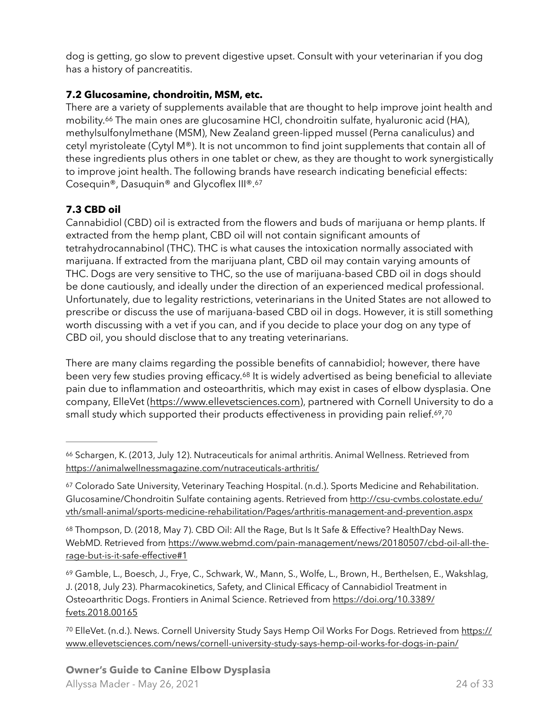dog is getting, go slow to prevent digestive upset. Consult with your veterinarian if you dog has a history of pancreatitis.

### <span id="page-23-0"></span>**7.2 Glucosamine, chondroitin, MSM, etc.**

<span id="page-23-7"></span>There are a variety of supplements available that are thought to help improve joint health and mobility.<sup>[66](#page-23-2)</sup> The main ones are glucosamine HCl, chondroitin sulfate, hyaluronic acid (HA), methylsulfonylmethane (MSM), New Zealand green-lipped mussel (Perna canaliculus) and cetyl myristoleate (Cytyl M®). It is not uncommon to find joint supplements that contain all of these ingredients plus others in one tablet or chew, as they are thought to work synergistically to improve joint health. The following brands have research indicating beneficial effects: Cosequin®, Dasuquin® and Glycoflex III®.[67](#page-23-3)

### <span id="page-23-8"></span><span id="page-23-1"></span>**7.3 CBD oil**

Cannabidiol (CBD) oil is extracted from the flowers and buds of marijuana or hemp plants. If extracted from the hemp plant, CBD oil will not contain significant amounts of tetrahydrocannabinol (THC). THC is what causes the intoxication normally associated with marijuana. If extracted from the marijuana plant, CBD oil may contain varying amounts of THC. Dogs are very sensitive to THC, so the use of marijuana-based CBD oil in dogs should be done cautiously, and ideally under the direction of an experienced medical professional. Unfortunately, due to legality restrictions, veterinarians in the United States are not allowed to prescribe or discuss the use of marijuana-based CBD oil in dogs. However, it is still something worth discussing with a vet if you can, and if you decide to place your dog on any type of CBD oil, you should disclose that to any treating veterinarians.

<span id="page-23-9"></span>There are many claims regarding the possible benefits of cannabidiol; however, there have been very few studies proving efficacy.<sup>[68](#page-23-4)</sup> It is widely advertised as being beneficial to alleviate pain due to inflammation and osteoarthritis, which may exist in cases of elbow dysplasia. One company, ElleVet [\(https://www.ellevetsciences.com](https://www.ellevetsciences.com)), partnered with Cornell University to do a small study which supported their products effectiveness in providing pain relief.<sup>[69](#page-23-5)</sup>,<sup>[70](#page-23-6)</sup>

<span id="page-23-4"></span>68Thompson, D. (2018, May 7). CBD Oil: All the Rage, But Is It Safe & Effective? HealthDay News. [WebMD. Retrieved from https://www.webmd.com/pain-management/news/20180507/cbd-oil-all-the](https://www.webmd.com/pain-management/news/20180507/cbd-oil-all-the-rage-but-is-it-safe-effective#1)[rage-but-is-it-safe-effective#1](https://www.webmd.com/pain-management/news/20180507/cbd-oil-all-the-rage-but-is-it-safe-effective#1)

<span id="page-23-5"></span><sup>69</sup>Gamble, L., Boesch, J., Frye, C., Schwark, W., Mann, S., Wolfe, L., Brown, H., Berthelsen, E., Wakshlag, J. (2018, July 23). Pharmacokinetics, Safety, and Clinical Efficacy of Cannabidiol Treatment in Osteoarthritic Dogs. Frontiers in Animal Science. Retrieved from [https://doi.org/10.3389/](https://doi.org/10.3389/fvets.2018.00165) [fvets.2018.00165](https://doi.org/10.3389/fvets.2018.00165)

<span id="page-23-6"></span><sup>70</sup> ElleVet. (n.d.). News. Cornell University Study Says Hemp Oil Works For Dogs. Retrieved from [https://](https://www.ellevetsciences.com/news/cornell-university-study-says-hemp-oil-works-for-dogs-in-pain/) [www.ellevetsciences.com/news/cornell-university-study-says-hemp-oil-works-for-dogs-in-pain/](https://www.ellevetsciences.com/news/cornell-university-study-says-hemp-oil-works-for-dogs-in-pain/)

<span id="page-23-11"></span><span id="page-23-10"></span><span id="page-23-2"></span><sup>&</sup>lt;sup>66</sup>Schargen, K. (2013, July 12). Nutraceuticals for animal arthritis. Animal Wellness. Retrieved from <https://animalwellnessmagazine.com/nutraceuticals-arthritis/>

<span id="page-23-3"></span><sup>&</sup>lt;sup>67</sup>Colorado Sate University, Veterinary Teaching Hospital. (n.d.). Sports Medicine and Rehabilitation. [Glucosamine/Chondroitin Sulfate containing agents. Retrieved from http://csu-cvmbs.colostate.edu/](http://csu-cvmbs.colostate.edu/vth/small-animal/sports-medicine-rehabilitation/Pages/arthritis-management-and-prevention.aspx) [vth/small-animal/sports-medicine-rehabilitation/Pages/arthritis-management-and-prevention.aspx](http://csu-cvmbs.colostate.edu/vth/small-animal/sports-medicine-rehabilitation/Pages/arthritis-management-and-prevention.aspx)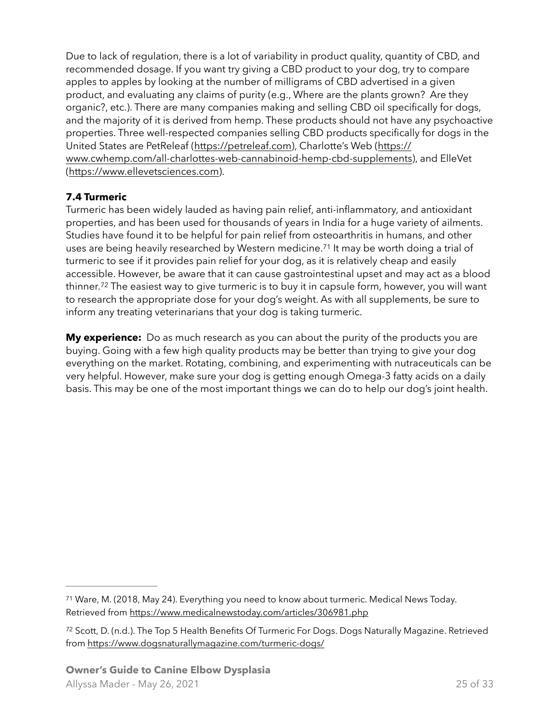Due to lack of regulation, there is a lot of variability in product quality, quantity of CBD, and recommended dosage. If you want try giving a CBD product to your dog, try to compare apples to apples by looking at the number of milligrams of CBD advertised in a given product, and evaluating any claims of purity (e.g., Where are the plants grown? Are they organic?, etc.). There are many companies making and selling CBD oil specifically for dogs, and the majority of it is derived from hemp. These products should not have any psychoactive properties. Three well-respected companies selling CBD products specifically for dogs in the United States are PetReleaf [\(https://petreleaf.com\)](https://petreleaf.com), Charlotte's Web [\(https://](https://www.cwhemp.com/all-charlottes-web-cannabinoid-hemp-cbd-supplements) [www.cwhemp.com/all-charlottes-web-cannabinoid-hemp-cbd-supplements\)](https://www.cwhemp.com/all-charlottes-web-cannabinoid-hemp-cbd-supplements), and ElleVet [\(https://www.ellevetsciences.com\)](https://www.ellevetsciences.com).

## <span id="page-24-0"></span>**7.4 Turmeric**

<span id="page-24-3"></span>Turmeric has been widely lauded as having pain relief, anti-inflammatory, and antioxidant properties, and has been used for thousands of years in India for a huge variety of ailments. Studies have found it to be helpful for pain relief from osteoarthritis in humans, and other uses are being heavily researched by Western medicine.<sup>[71](#page-24-1)</sup> It may be worth doing a trial of turmeric to see if it provides pain relief for your dog, as it is relatively cheap and easily accessible. However, be aware that it can cause gastrointestinal upset and may act as a blood thinner.<sup>[72](#page-24-2)</sup> The easiest way to give turmeric is to buy it in capsule form, however, you will want to research the appropriate dose for your dog's weight. As with all supplements, be sure to inform any treating veterinarians that your dog is taking turmeric.

<span id="page-24-4"></span>**My experience:** Do as much research as you can about the purity of the products you are buying. Going with a few high quality products may be better than trying to give your dog everything on the market. Rotating, combining, and experimenting with nutraceuticals can be very helpful. However, make sure your dog is getting enough Omega-3 fatty acids on a daily basis. This may be one of the most important things we can do to help our dog's joint health.

<span id="page-24-1"></span><sup>&</sup>lt;sup>71</sup>Ware, M. (2018, May 24). Everything you need to know about turmeric. Medical News Today. Retrieved from <https://www.medicalnewstoday.com/articles/306981.php>

<span id="page-24-2"></span><sup>72</sup>Scott, D. (n.d.). The Top 5 Health Benefits Of Turmeric For Dogs. Dogs Naturally Magazine. Retrieved from <https://www.dogsnaturallymagazine.com/turmeric-dogs/>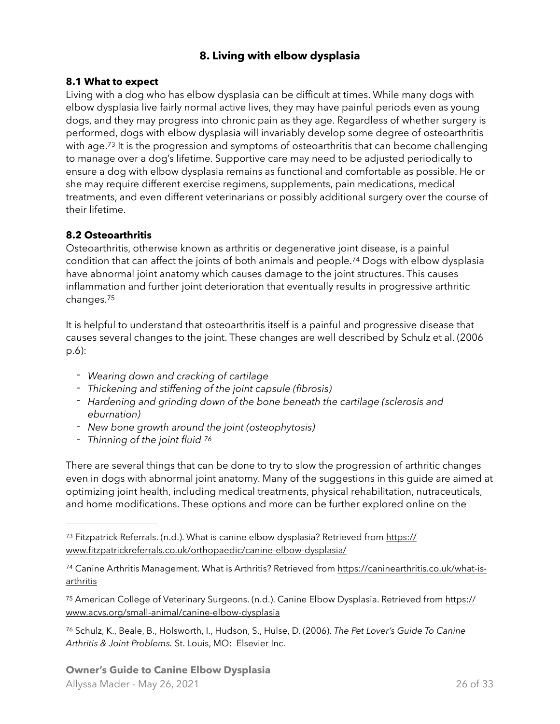# <span id="page-25-8"></span><span id="page-25-0"></span>**8. Living with elbow dysplasia**

#### <span id="page-25-1"></span>**8.1 What to expect**

<span id="page-25-7"></span>Living with a dog who has elbow dysplasia can be difficult at times. While many dogs with elbow dysplasia live fairly normal active lives, they may have painful periods even as young dogs, and they may progress into chronic pain as they age. Regardless of whether surgery is performed, dogs with elbow dysplasia will invariably develop some degree of osteoarthritis with age.<sup>[73](#page-25-3)</sup> It is the progression and symptoms of osteoarthritis that can become challenging to manage over a dog's lifetime. Supportive care may need to be adjusted periodically to ensure a dog with elbow dysplasia remains as functional and comfortable as possible. He or she may require different exercise regimens, supplements, pain medications, medical treatments, and even different veterinarians or possibly additional surgery over the course of their lifetime.

#### <span id="page-25-2"></span>**8.2 Osteoarthritis**

Osteoarthritis, otherwise known as arthritis or degenerative joint disease, is a painful condition that can affect the joints of both animals and people.<sup>[74](#page-25-4)</sup> Dogs with elbow dysplasia have abnormal joint anatomy which causes damage to the joint structures. This causes inflammation and further joint deterioration that eventually results in progressive arthritic changes[.75](#page-25-5)

<span id="page-25-9"></span>It is helpful to understand that osteoarthritis itself is a painful and progressive disease that causes several changes to the joint. These changes are well described by Schulz et al. (2006 p.6):

- *- Wearing down and cracking of cartilage*
- *- Thickening and stiffening of the joint capsule (fibrosis)*
- *- Hardening and grinding down of the bone beneath the cartilage (sclerosis and eburnation)*
- *- New bone growth around the joint (osteophytosis)*
- <span id="page-25-10"></span>*- Thinning of the joint fluid [76](#page-25-6)*

There are several things that can be done to try to slow the progression of arthritic changes even in dogs with abnormal joint anatomy. Many of the suggestions in this guide are aimed at optimizing joint health, including medical treatments, physical rehabilitation, nutraceuticals, and home modifications. These options and more can be further explored online on the

<span id="page-25-5"></span><sup>75</sup> American College of Veterinary Surgeons. (n.d.). Canine Elbow Dysplasia. Retrieved from [https://](https://www.acvs.org/small-animal/canine-elbow-dysplasia) [www.acvs.org/small-animal/canine-elbow-dysplasia](https://www.acvs.org/small-animal/canine-elbow-dysplasia)

<span id="page-25-6"></span> Schulz, K., Beale, B., Holsworth, I., Hudson, S., Hulse, D. (2006). *The Pet Lover's Guide To Canine* [76](#page-25-10) *Arthritis & Joint Problems.* St. Louis, MO: Elsevier Inc.

<span id="page-25-3"></span><sup>73</sup> Fitzpatrick Referrals. (n.d.). What is canine elbow dysplasia? Retrieved from [https://](https://www.fitzpatrickreferrals.co.uk/orthopaedic/canine-elbow-dysplasia/) [www.fitzpatrickreferrals.co.uk/orthopaedic/canine-elbow-dysplasia/](https://www.fitzpatrickreferrals.co.uk/orthopaedic/canine-elbow-dysplasia/)

<span id="page-25-4"></span><sup>&</sup>lt;sup>74</sup> Canine Arthritis Management. What is Arthritis? Retrieved from [https://caninearthritis.co.uk/what-is](https://caninearthritis.co.uk/what-is-arthritis) [arthritis](https://caninearthritis.co.uk/what-is-arthritis)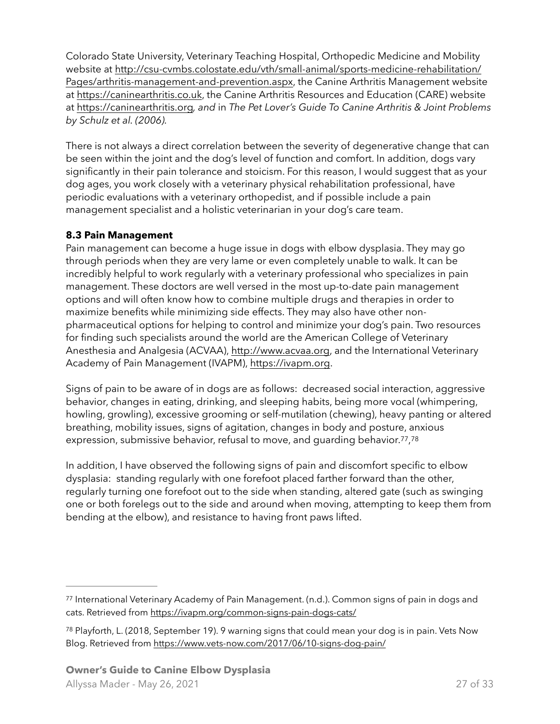Colorado State University, Veterinary Teaching Hospital, Orthopedic Medicine and Mobility [website at http://csu-cvmbs.colostate.edu/vth/small-animal/sports-medicine-rehabilitation/](http://csu-cvmbs.colostate.edu/vth/small-animal/sports-medicine-rehabilitation/Pages/arthritis-management-and-prevention.aspx) [Pages/arthritis-management-and-prevention.aspx](http://csu-cvmbs.colostate.edu/vth/small-animal/sports-medicine-rehabilitation/Pages/arthritis-management-and-prevention.aspx), the Canine Arthritis Management website at [https://caninearthritis.co.uk,](https://caninearthritis.co.uk) the Canine Arthritis Resources and Education (CARE) website at<https://caninearthritis.org>*, and* in *The Pet Lover's Guide To Canine Arthritis & Joint Problems by Schulz et al. (2006).* 

There is not always a direct correlation between the severity of degenerative change that can be seen within the joint and the dog's level of function and comfort. In addition, dogs vary significantly in their pain tolerance and stoicism. For this reason, I would suggest that as your dog ages, you work closely with a veterinary physical rehabilitation professional, have periodic evaluations with a veterinary orthopedist, and if possible include a pain management specialist and a holistic veterinarian in your dog's care team.

### <span id="page-26-0"></span>**8.3 Pain Management**

Pain management can become a huge issue in dogs with elbow dysplasia. They may go through periods when they are very lame or even completely unable to walk. It can be incredibly helpful to work regularly with a veterinary professional who specializes in pain management. These doctors are well versed in the most up-to-date pain management options and will often know how to combine multiple drugs and therapies in order to maximize benefits while minimizing side effects. They may also have other nonpharmaceutical options for helping to control and minimize your dog's pain. Two resources for finding such specialists around the world are the American College of Veterinary Anesthesia and Analgesia (ACVAA), [http://www.acvaa.org,](http://www.acvaa.org) and the International Veterinary Academy of Pain Management (IVAPM), [https://ivapm.org.](https://ivapm.org)

Signs of pain to be aware of in dogs are as follows: decreased social interaction, aggressive behavior, changes in eating, drinking, and sleeping habits, being more vocal (whimpering, howling, growling), excessive grooming or self-mutilation (chewing), heavy panting or altered breathing, mobility issues, signs of agitation, changes in body and posture, anxious expression, submissive behavior, refusal to move, and guarding behavior.<sup>[77](#page-26-1)</sup>, [78](#page-26-2)

<span id="page-26-4"></span><span id="page-26-3"></span>In addition, I have observed the following signs of pain and discomfort specific to elbow dysplasia: standing regularly with one forefoot placed farther forward than the other, regularly turning one forefoot out to the side when standing, altered gate (such as swinging one or both forelegs out to the side and around when moving, attempting to keep them from bending at the elbow), and resistance to having front paws lifted.

<span id="page-26-1"></span><sup>77</sup>International Veterinary Academy of Pain Management. (n.d.). Common signs of pain in dogs and cats. Retrieved from<https://ivapm.org/common-signs-pain-dogs-cats/>

<span id="page-26-2"></span><sup>78</sup>Playforth, L. (2018, September 19). 9 warning signs that could mean your dog is in pain. Vets Now Blog. Retrieved from <https://www.vets-now.com/2017/06/10-signs-dog-pain/>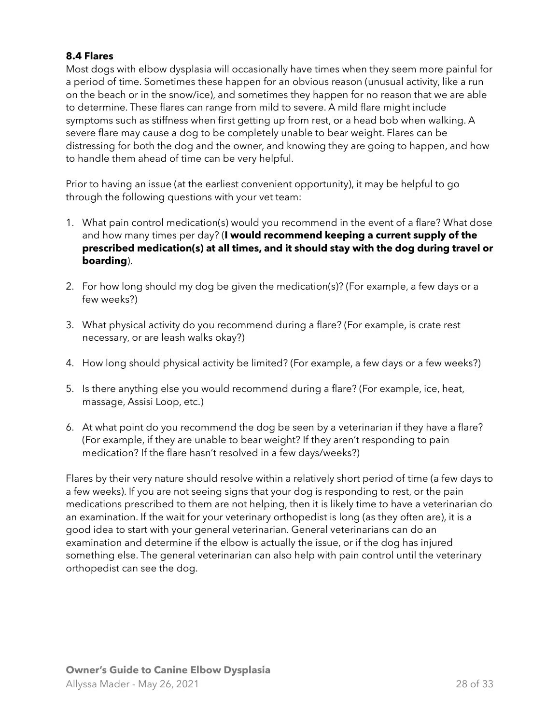#### <span id="page-27-0"></span>**8.4 Flares**

Most dogs with elbow dysplasia will occasionally have times when they seem more painful for a period of time. Sometimes these happen for an obvious reason (unusual activity, like a run on the beach or in the snow/ice), and sometimes they happen for no reason that we are able to determine. These flares can range from mild to severe. A mild flare might include symptoms such as stiffness when first getting up from rest, or a head bob when walking. A severe flare may cause a dog to be completely unable to bear weight. Flares can be distressing for both the dog and the owner, and knowing they are going to happen, and how to handle them ahead of time can be very helpful.

Prior to having an issue (at the earliest convenient opportunity), it may be helpful to go through the following questions with your vet team:

- 1. What pain control medication(s) would you recommend in the event of a flare? What dose and how many times per day? (**I would recommend keeping a current supply of the prescribed medication(s) at all times, and it should stay with the dog during travel or boarding**).
- 2. For how long should my dog be given the medication(s)? (For example, a few days or a few weeks?)
- 3. What physical activity do you recommend during a flare? (For example, is crate rest necessary, or are leash walks okay?)
- 4. How long should physical activity be limited? (For example, a few days or a few weeks?)
- 5. Is there anything else you would recommend during a flare? (For example, ice, heat, massage, Assisi Loop, etc.)
- 6. At what point do you recommend the dog be seen by a veterinarian if they have a flare? (For example, if they are unable to bear weight? If they aren't responding to pain medication? If the flare hasn't resolved in a few days/weeks?)

Flares by their very nature should resolve within a relatively short period of time (a few days to a few weeks). If you are not seeing signs that your dog is responding to rest, or the pain medications prescribed to them are not helping, then it is likely time to have a veterinarian do an examination. If the wait for your veterinary orthopedist is long (as they often are), it is a good idea to start with your general veterinarian. General veterinarians can do an examination and determine if the elbow is actually the issue, or if the dog has injured something else. The general veterinarian can also help with pain control until the veterinary orthopedist can see the dog.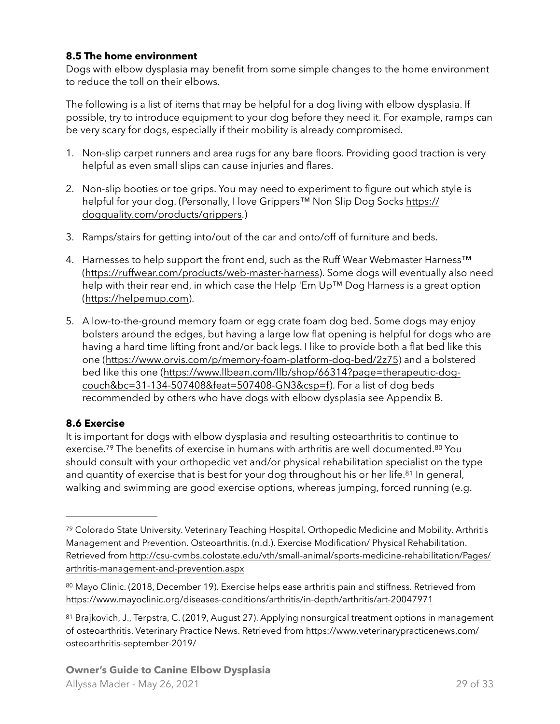### <span id="page-28-0"></span>**8.5 The home environment**

Dogs with elbow dysplasia may benefit from some simple changes to the home environment to reduce the toll on their elbows.

The following is a list of items that may be helpful for a dog living with elbow dysplasia. If possible, try to introduce equipment to your dog before they need it. For example, ramps can be very scary for dogs, especially if their mobility is already compromised.

- 1. Non-slip carpet runners and area rugs for any bare floors. Providing good traction is very helpful as even small slips can cause injuries and flares.
- 2. Non-slip booties or toe grips. You may need to experiment to figure out which style is helpful for your dog. (Personally, I love Grippers™ Non Slip Dog Socks [https://](https://dogquality.com/products/grippers) [dogquality.com/products/grippers](https://dogquality.com/products/grippers).)
- 3. Ramps/stairs for getting into/out of the car and onto/off of furniture and beds.
- 4. Harnesses to help support the front end, such as the Ruff Wear Webmaster Harness<sup>™</sup> [\(https://ruffwear.com/products/web-master-harness](https://ruffwear.com/products/web-master-harness)). Some dogs will eventually also need help with their rear end, in which case the Help 'Em Up™ Dog Harness is a great option [\(https://helpemup.com](https://helpemup.com)).
- 5. A low-to-the-ground memory foam or egg crate foam dog bed. Some dogs may enjoy bolsters around the edges, but having a large low flat opening is helpful for dogs who are having a hard time lifting front and/or back legs. I like to provide both a flat bed like this one [\(https://www.orvis.com/p/memory-foam-platform-dog-bed/2z75\)](https://www.orvis.com/p/memory-foam-platform-dog-bed/2z75) and a bolstered [bed like this one \(https://www.llbean.com/llb/shop/66314?page=therapeutic-dog](https://www.llbean.com/llb/shop/66314?page=therapeutic-dog-couch&bc=31-134-507408&feat=507408-GN3&csp=f)[couch&bc=31-134-507408&feat=507408-GN3&csp=f](https://www.llbean.com/llb/shop/66314?page=therapeutic-dog-couch&bc=31-134-507408&feat=507408-GN3&csp=f)). For a list of dog beds recommended by others who have dogs with elbow dysplasia see Appendix B.

## <span id="page-28-1"></span>**8.6 Exercise**

<span id="page-28-7"></span><span id="page-28-6"></span><span id="page-28-5"></span>It is important for dogs with elbow dysplasia and resulting osteoarthritis to continue to exercise.<sup>[79](#page-28-2)</sup> The benefits of exercise in humans with arthritis are well documented.<sup>80</sup> You should consult with your orthopedic vet and/or physical rehabilitation specialist on the type and quantity of exercise that is best for your dog throughout his or her life.<sup>[81](#page-28-4)</sup> In general, walking and swimming are good exercise options, whereas jumping, forced running (e.g.

<span id="page-28-2"></span><sup>&</sup>lt;sup>79</sup>Colorado State University. Veterinary Teaching Hospital. Orthopedic Medicine and Mobility. Arthritis Management and Prevention. Osteoarthritis. (n.d.). Exercise Modification/ Physical Rehabilitation. [Retrieved from http://csu-cvmbs.colostate.edu/vth/small-animal/sports-medicine-rehabilitation/Pages/](http://csu-cvmbs.colostate.edu/vth/small-animal/sports-medicine-rehabilitation/Pages/arthritis-management-and-prevention.aspx) [arthritis-management-and-prevention.aspx](http://csu-cvmbs.colostate.edu/vth/small-animal/sports-medicine-rehabilitation/Pages/arthritis-management-and-prevention.aspx)

<span id="page-28-3"></span><sup>80</sup>Mayo Clinic. (2018, December 19). Exercise helps ease arthritis pain and stiffness. Retrieved from <https://www.mayoclinic.org/diseases-conditions/arthritis/in-depth/arthritis/art-20047971>

<span id="page-28-4"></span><sup>81</sup>Brajkovich, J., Terpstra, C. (2019, August 27). Applying nonsurgical treatment options in management of osteoarthritis. Veterinary Practice News. Retrieved from [https://www.veterinarypracticenews.com/](https://www.veterinarypracticenews.com/osteoarthritis-september-2019/) [osteoarthritis-september-2019/](https://www.veterinarypracticenews.com/osteoarthritis-september-2019/)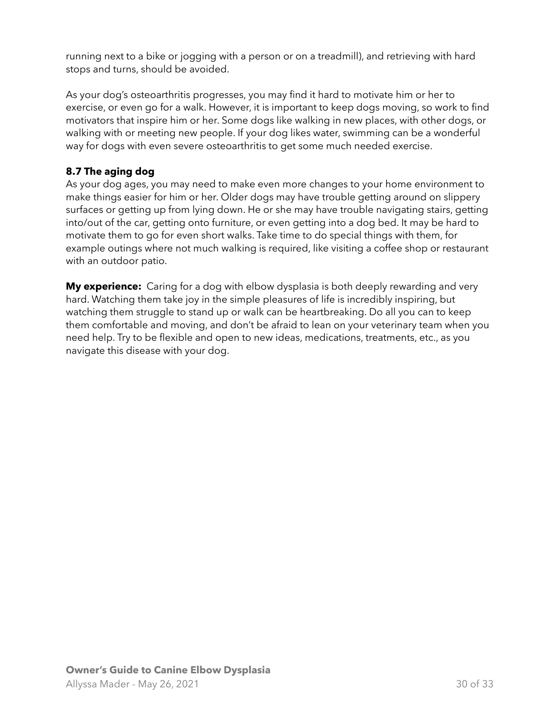running next to a bike or jogging with a person or on a treadmill), and retrieving with hard stops and turns, should be avoided.

As your dog's osteoarthritis progresses, you may find it hard to motivate him or her to exercise, or even go for a walk. However, it is important to keep dogs moving, so work to find motivators that inspire him or her. Some dogs like walking in new places, with other dogs, or walking with or meeting new people. If your dog likes water, swimming can be a wonderful way for dogs with even severe osteoarthritis to get some much needed exercise.

### <span id="page-29-0"></span>**8.7 The aging dog**

As your dog ages, you may need to make even more changes to your home environment to make things easier for him or her. Older dogs may have trouble getting around on slippery surfaces or getting up from lying down. He or she may have trouble navigating stairs, getting into/out of the car, getting onto furniture, or even getting into a dog bed. It may be hard to motivate them to go for even short walks. Take time to do special things with them, for example outings where not much walking is required, like visiting a coffee shop or restaurant with an outdoor patio.

**My experience:** Caring for a dog with elbow dysplasia is both deeply rewarding and very hard. Watching them take joy in the simple pleasures of life is incredibly inspiring, but watching them struggle to stand up or walk can be heartbreaking. Do all you can to keep them comfortable and moving, and don't be afraid to lean on your veterinary team when you need help. Try to be flexible and open to new ideas, medications, treatments, etc., as you navigate this disease with your dog.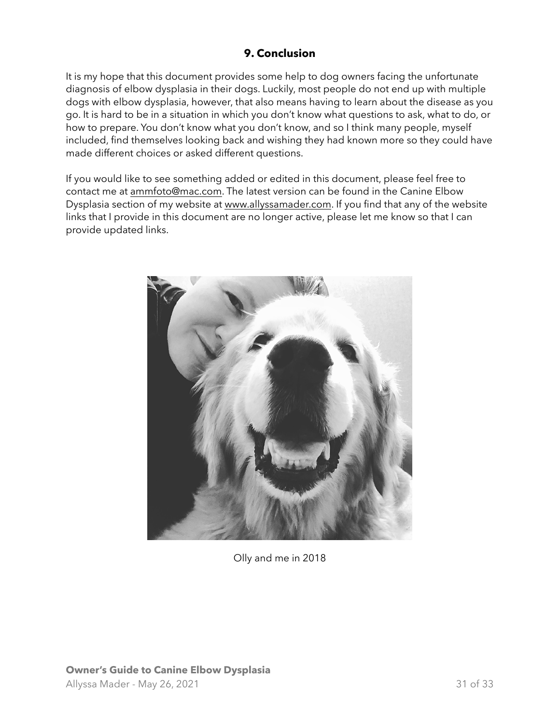# <span id="page-30-0"></span>**9. Conclusion**

It is my hope that this document provides some help to dog owners facing the unfortunate diagnosis of elbow dysplasia in their dogs. Luckily, most people do not end up with multiple dogs with elbow dysplasia, however, that also means having to learn about the disease as you go. It is hard to be in a situation in which you don't know what questions to ask, what to do, or how to prepare. You don't know what you don't know, and so I think many people, myself included, find themselves looking back and wishing they had known more so they could have made different choices or asked different questions.

If you would like to see something added or edited in this document, please feel free to contact me at [ammfoto@mac.com.](mailto:ammfoto@mac.com) The latest version can be found in the Canine Elbow Dysplasia section of my website at [www.allyssamader.com](http://www.allyssamader.com). If you find that any of the website links that I provide in this document are no longer active, please let me know so that I can provide updated links.



Olly and me in 2018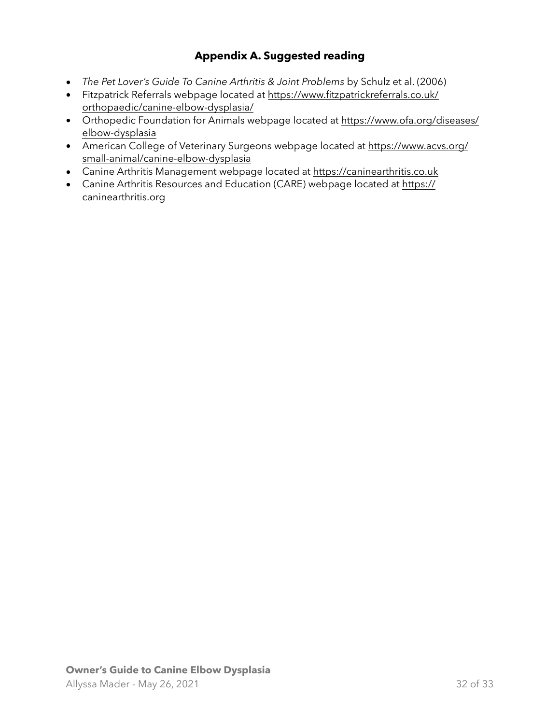# <span id="page-31-0"></span>**Appendix A. Suggested reading**

- *The Pet Lover's Guide To Canine Arthritis & Joint Problems* by Schulz et al. (2006)
- Fitzpatrick Referrals webpage located at [https://www.fitzpatrickreferrals.co.uk/](https://www.fitzpatrickreferrals.co.uk/orthopaedic/canine-elbow-dysplasia/) [orthopaedic/canine-elbow-dysplasia/](https://www.fitzpatrickreferrals.co.uk/orthopaedic/canine-elbow-dysplasia/)
- Orthopedic Foundation for Animals webpage located at [https://www.ofa.org/diseases/](https://www.ofa.org/diseases/elbow-dysplasia) [elbow-dysplasia](https://www.ofa.org/diseases/elbow-dysplasia)
- American College of Veterinary Surgeons webpage located at [https://www.acvs.org/](https://www.acvs.org/small-animal/canine-elbow-dysplasia) [small-animal/canine-elbow-dysplasia](https://www.acvs.org/small-animal/canine-elbow-dysplasia)
- Canine Arthritis Management webpage located at<https://caninearthritis.co.uk>
- Canine Arthritis Resources and Education (CARE) webpage located at [https://](https://caninearthritis.org) [caninearthritis.org](https://caninearthritis.org)